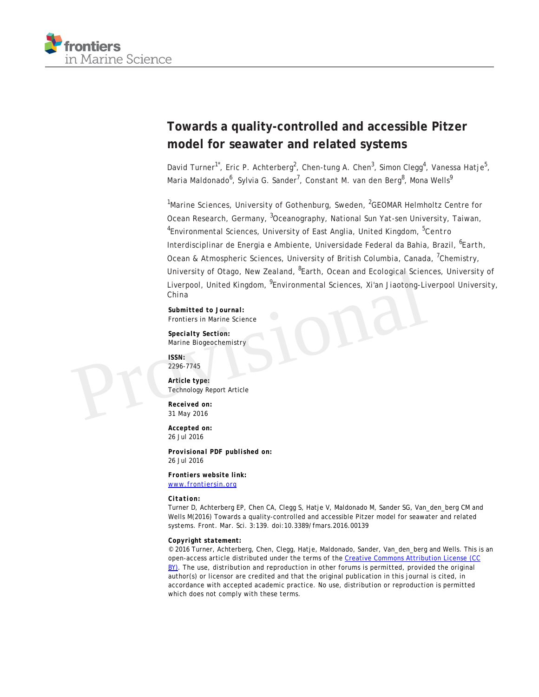

# **Towards a quality-controlled and accessible Pitzer model for seawater and related systems**

David Turner<sup>1\*</sup>, Eric P. Achterberg<sup>2</sup>, Chen-tung A. Chen<sup>3</sup>, Simon Clegg<sup>4</sup>, Vanessa Hatje<sup>5</sup>, Maria Maldonado<sup>6</sup>, Sylvia G. Sander<sup>7</sup>, Constant M. van den Berg<sup>8</sup>, Mona Wells<sup>9</sup>

 $1$ Marine Sciences, University of Gothenburg, Sweden,  $2$ GEOMAR Helmholtz Centre for Ocean Research, Germany, <sup>3</sup>Oceanography, National Sun Yat-sen University, Taiwan, <sup>4</sup>Environmental Sciences, University of East Anglia, United Kingdom, <sup>5</sup>Centro Interdisciplinar de Energia e Ambiente, Universidade Federal da Bahia, Brazil, <sup>6</sup>Earth, Ocean & Atmospheric Sciences, University of British Columbia, Canada, <sup>7</sup>Chemistry, University of Otago, New Zealand, <sup>8</sup>Earth, Ocean and Ecological Sciences, University of Liverpool, United Kingdom, <sup>9</sup>Environmental Sciences, Xi'an Jiaotong-Liverpool University, China University of Otago, New Zealand, "Earth, Ocean and Ecological Science<br>
Liverpool, United Kingdom, <sup>9</sup>Environmental Sciences, Xi'an Jiaotong-Li<br>
China<br>
Submitted to Journal:<br>
Frontiers in Marine Science<br>
Specialty Section:

*Submitted to Journal:* Frontiers in Marine Science

*Specialty Section:* Marine Biogeochemistry

*ISSN:* 2296-7745

*Article type:* Technology Report Article

*Received on:* 31 May 2016

*Accepted on:* 26 Jul 2016

*Provisional PDF published on:* 26 Jul 2016

*Frontiers website link:* [www.frontiersin.org](http://www.frontiersin.org/)

#### *Citation:*

Turner D, Achterberg EP, Chen CA, Clegg S, Hatje V, Maldonado M, Sander SG, Van\_den\_berg CM and Wells M(2016) Towards a quality-controlled and accessible Pitzer model for seawater and related systems. *Front. Mar. Sci.* 3:139. doi:10.3389/fmars.2016.00139

#### *Copyright statement:*

© 2016 Turner, Achterberg, Chen, Clegg, Hatje, Maldonado, Sander, Van\_den\_berg and Wells. This is an open-access article distributed under the terms of the [Creative Commons Attribution License \(CC](http://creativecommons.org/licenses/by/4.0/) BY). The use, distribution and reproduction in other forums is permitted, provided the original author(s) or licensor are credited and that the original publication in this journal is cited, in accordance with accepted academic practice. No use, distribution or reproduction is permitted which does not comply with these terms.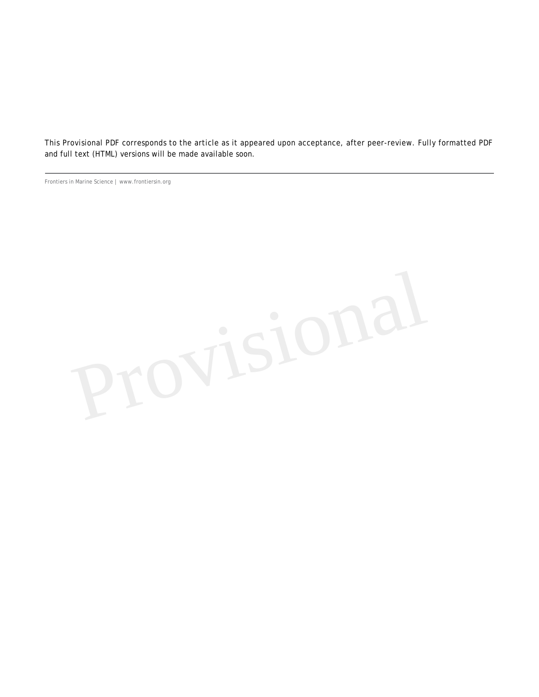This Provisional PDF corresponds to the article as it appeared upon acceptance, after peer-review. Fully formatted PDF and full text (HTML) versions will be made available soon.

Frontiers in Marine Science | www.frontiersin.org

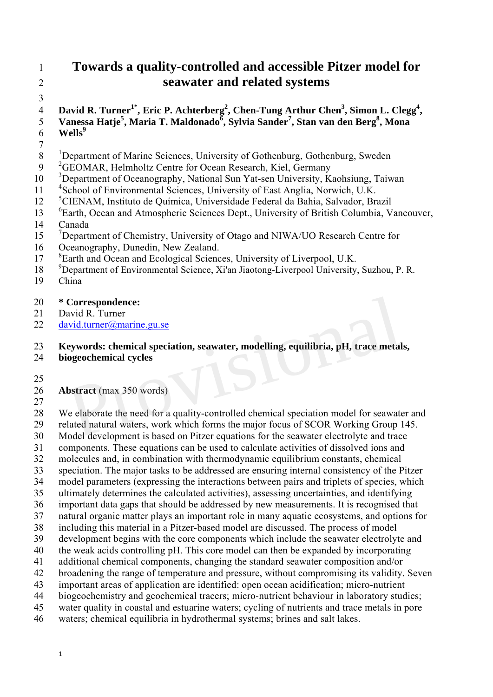# 1 **Towards a quality-controlled and accessible Pitzer model for**  2 **seawater and related systems**

3

4 David R. Turner<sup>1\*</sup>, Eric P. Achterberg<sup>2</sup>, Chen-Tung Arthur Chen<sup>3</sup>, Simon L. Clegg<sup>4</sup>, 5 Vanessa Hatje<sup>5</sup>, Maria T. Maldonado<sup>6</sup>, Sylvia Sander<sup>7</sup>, Stan van den Berg<sup>8</sup>, Mona 5 **Vaness**<br>6 **Wells**<sup>9</sup>

7

<sup>1</sup> 8 Department of Marine Sciences, University of Gothenburg, Gothenburg, Sweden

- 9 <sup>2</sup> GEOMAR, Helmholtz Centre for Ocean Research, Kiel, Germany
- <sup>3</sup> Department of Oceanography, National Sun Yat-sen University, Kaohsiung, Taiwan
- 11 <sup>4</sup> School of Environmental Sciences, University of East Anglia, Norwich, U.K.
- <sup>5</sup> 12 CIENAM, Instituto de Química, Universidade Federal da Bahia, Salvador, Brazil
- <sup>6</sup> Earth, Ocean and Atmospheric Sciences Dept., University of British Columbia, Vancouver,
- 14 Canada
- <sup>7</sup> Department of Chemistry, University of Otago and NIWA/UO Research Centre for
- 16 Oceanography, Dunedin, New Zealand.
- <sup>8</sup> 17 <sup>8</sup> Earth and Ocean and Ecological Sciences, University of Liverpool, U.K.
- <sup>9</sup> Department of Environmental Science, Xi'an Jiaotong-Liverpool University, Suzhou, P. R. 19 China
- China

### 20 **\* Correspondence:**

- 21 David R. Turner
- 22 david.turner@marine.gu.se

#### 23 **Keywords: chemical speciation, seawater, modelling, equilibria, pH, trace metals,**

- 24 **biogeochemical cycles**
- 25

### 26 **Abstract** (max 350 words)

27

28 We elaborate the need for a quality-controlled chemical speciation model for seawater and 29 related natural waters, work which forms the major focus of SCOR Working Group 145. 30 Model development is based on Pitzer equations for the seawater electrolyte and trace 31 components. These equations can be used to calculate activities of dissolved ions and 32 molecules and, in combination with thermodynamic equilibrium constants, chemical 33 speciation. The major tasks to be addressed are ensuring internal consistency of the Pitzer 34 model parameters (expressing the interactions between pairs and triplets of species, which 35 ultimately determines the calculated activities), assessing uncertainties, and identifying 36 important data gaps that should be addressed by new measurements. It is recognised that 37 natural organic matter plays an important role in many aquatic ecosystems, and options for 38 including this material in a Pitzer-based model are discussed. The process of model 39 development begins with the core components which include the seawater electrolyte and 40 the weak acids controlling pH. This core model can then be expanded by incorporating 41 additional chemical components, changing the standard seawater composition and/or 42 broadening the range of temperature and pressure, without compromising its validity. Seven 43 important areas of application are identified: open ocean acidification; micro-nutrient 44 biogeochemistry and geochemical tracers; micro-nutrient behaviour in laboratory studies; 45 water quality in coastal and estuarine waters; cycling of nutrients and trace metals in pore 46 waters; chemical equilibria in hydrothermal systems; brines and salt lakes. Correspondence:<br>
avid R. Turner<br>
invid.turner@marine.gu.se<br>
inverse expansion of the search and the search and the search in the search<br>
interact (max 350 words)<br>
Pe elaborate the need for a quality-controlled chemical spe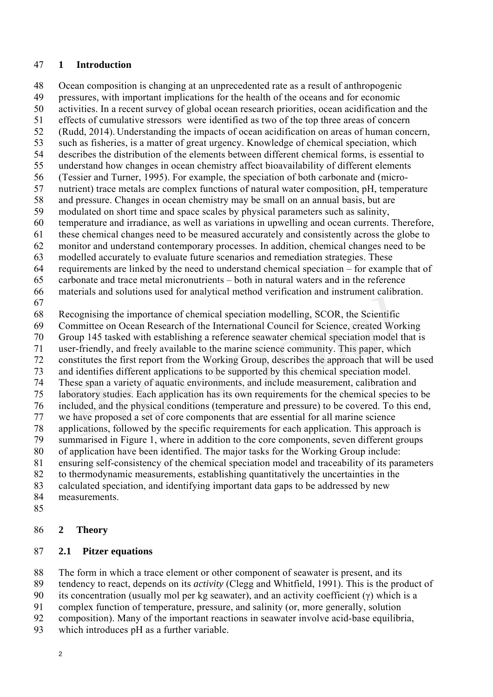#### 47 **1 Introduction**

48 Ocean composition is changing at an unprecedented rate as a result of anthropogenic 49 pressures, with important implications for the health of the oceans and for economic 50 activities. In a recent survey of global ocean research priorities, ocean acidification and the 51 effects of cumulative stressors were identified as two of the top three areas of concern 52 (Rudd, 2014). Understanding the impacts of ocean acidification on areas of human concern, 53 such as fisheries, is a matter of great urgency. Knowledge of chemical speciation, which 54 describes the distribution of the elements between different chemical forms, is essential to 55 understand how changes in ocean chemistry affect bioavailability of different elements 56 (Tessier and Turner, 1995). For example, the speciation of both carbonate and (micro-57 nutrient) trace metals are complex functions of natural water composition, pH, temperature 58 and pressure. Changes in ocean chemistry may be small on an annual basis, but are 59 modulated on short time and space scales by physical parameters such as salinity, 60 temperature and irradiance, as well as variations in upwelling and ocean currents. Therefore, 61 these chemical changes need to be measured accurately and consistently across the globe to 62 monitor and understand contemporary processes. In addition, chemical changes need to be 63 modelled accurately to evaluate future scenarios and remediation strategies. These 64 requirements are linked by the need to understand chemical speciation – for example that of 65 carbonate and trace metal micronutrients – both in natural waters and in the reference 66 materials and solutions used for analytical method verification and instrument calibration. 67 68 Recognising the importance of chemical speciation modelling, SCOR, the Scientific 69 Committee on Ocean Research of the International Council for Science, created Working 70 Group 145 tasked with establishing a reference seawater chemical speciation model that is 71 user-friendly, and freely available to the marine science community. This paper, which 72 constitutes the first report from the Working Group, describes the approach that will be used 73 and identifies different applications to be supported by this chemical speciation model. 74 These span a variety of aquatic environments, and include measurement, calibration and 75 laboratory studies. Each application has its own requirements for the chemical species to be 76 included, and the physical conditions (temperature and pressure) to be covered. To this end, 77 we have proposed a set of core components that are essential for all marine science 78 applications, followed by the specific requirements for each application. This approach is 79 summarised in Figure 1, where in addition to the core components, seven different groups 80 of application have been identified. The major tasks for the Working Group include: 81 ensuring self-consistency of the chemical speciation model and traceability of its parameters 82 to thermodynamic measurements, establishing quantitatively the uncertainties in the 83 calculated speciation, and identifying important data gaps to be addressed by new 84 measurements. ecognising the importance of chemical speciation modelling, SCOR, the Scientific<br>ommittee on Ocean Research of the International Council for Science, created Wor<br>roup 145 tasked with establishing a reference seawater chemi

85

#### 86 **2 Theory**

#### 87 **2.1 Pitzer equations**

88 The form in which a trace element or other component of seawater is present, and its

89 tendency to react, depends on its *activity* (Clegg and Whitfield, 1991). This is the product of

90 its concentration (usually mol per kg seawater), and an activity coefficient  $(\gamma)$  which is a

- 91 complex function of temperature, pressure, and salinity (or, more generally, solution
- 92 composition). Many of the important reactions in seawater involve acid-base equilibria,
- 93 which introduces pH as a further variable.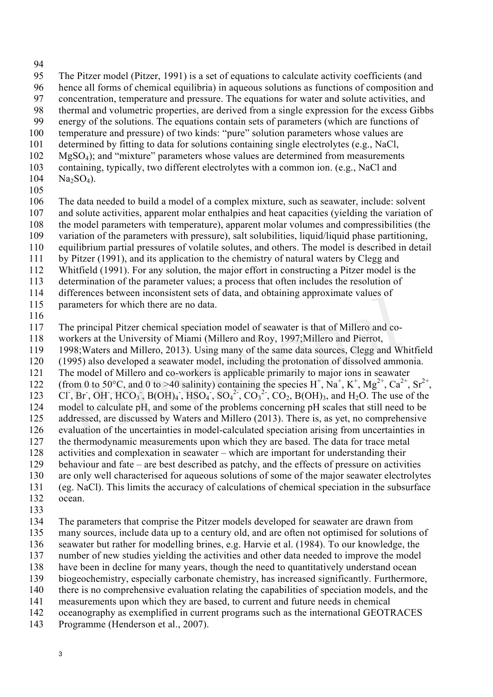94

95 The Pitzer model (Pitzer, 1991) is a set of equations to calculate activity coefficients (and 96 hence all forms of chemical equilibria) in aqueous solutions as functions of composition and 97 concentration, temperature and pressure. The equations for water and solute activities, and 98 thermal and volumetric properties, are derived from a single expression for the excess Gibbs 99 energy of the solutions. The equations contain sets of parameters (which are functions of 100 temperature and pressure) of two kinds: "pure" solution parameters whose values are 101 determined by fitting to data for solutions containing single electrolytes (e.g., NaCl, 102 MgSO4); and "mixture" parameters whose values are determined from measurements 103 containing, typically, two different electrolytes with a common ion. (e.g., NaCl and  $104$  Na<sub>2</sub>SO<sub>4</sub>).

105

106 The data needed to build a model of a complex mixture, such as seawater, include: solvent

- 107 and solute activities, apparent molar enthalpies and heat capacities (yielding the variation of
- 108 the model parameters with temperature), apparent molar volumes and compressibilities (the
- 109 variation of the parameters with pressure), salt solubilities, liquid/liquid phase partitioning,
- 110 equilibrium partial pressures of volatile solutes, and others. The model is described in detail
- 111 by Pitzer (1991), and its application to the chemistry of natural waters by Clegg and
- 112 Whitfield (1991). For any solution, the major effort in constructing a Pitzer model is the 113 determination of the parameter values; a process that often includes the resolution of
- 114 differences between inconsistent sets of data, and obtaining approximate values of
- 115 parameters for which there are no data.
- 116

117 The principal Pitzer chemical speciation model of seawater is that of Millero and co-

- 118 workers at the University of Miami (Millero and Roy, 1997;Millero and Pierrot,
- 119 1998;Waters and Millero, 2013). Using many of the same data sources, Clegg and Whitfield
- 120 (1995) also developed a seawater model, including the protonation of dissolved ammonia.
- 121 The model of Millero and co-workers is applicable primarily to major ions in seawater 122 (from 0 to 50°C, and 0 to >40 salinity) containing the species  $H^+$ ,  $Na^+$ ,  $K^+$ ,  $Mg^{2+}$ ,  $Ca^{2+}$ ,  $Sr^{2+}$ ,
- 123 CI, Br, OH, HCO<sub>3</sub>, B(OH)<sub>4</sub>, HSO<sub>4</sub>, SO<sub>4</sub><sup>2</sup>, CO<sub>3</sub><sup>2</sup>, CO<sub>2</sub>, B(OH)<sub>3</sub>, and H<sub>2</sub>O. The use of the
- 124 model to calculate pH, and some of the problems concerning pH scales that still need to be arameters for which there are no data.<br>
the principal Pitzer chemical speciation model of seawater is that of Millero and co-<br>
orkers at the University of Miami (Millero and Roy, 1997;Millero and Pierrot,<br>
998;Waters and
- 125 addressed, are discussed by Waters and Millero (2013). There is, as yet, no comprehensive
- 126 evaluation of the uncertainties in model-calculated speciation arising from uncertainties in
- 127 the thermodynamic measurements upon which they are based. The data for trace metal
- 128 activities and complexation in seawater which are important for understanding their 129 behaviour and fate – are best described as patchy, and the effects of pressure on activities
- 130 are only well characterised for aqueous solutions of some of the major seawater electrolytes
- 131 (eg. NaCl). This limits the accuracy of calculations of chemical speciation in the subsurface
- 132 ocean.
- 133
- 134 The parameters that comprise the Pitzer models developed for seawater are drawn from
- 135 many sources, include data up to a century old, and are often not optimised for solutions of
- 136 seawater but rather for modelling brines, e.g. Harvie et al. (1984). To our knowledge, the
- 137 number of new studies yielding the activities and other data needed to improve the model
- 138 have been in decline for many years, though the need to quantitatively understand ocean
- 139 biogeochemistry, especially carbonate chemistry, has increased significantly. Furthermore, 140 there is no comprehensive evaluation relating the capabilities of speciation models, and the
- 141 measurements upon which they are based, to current and future needs in chemical
- 142 oceanography as exemplified in current programs such as the international GEOTRACES
- 143 Programme (Henderson et al., 2007).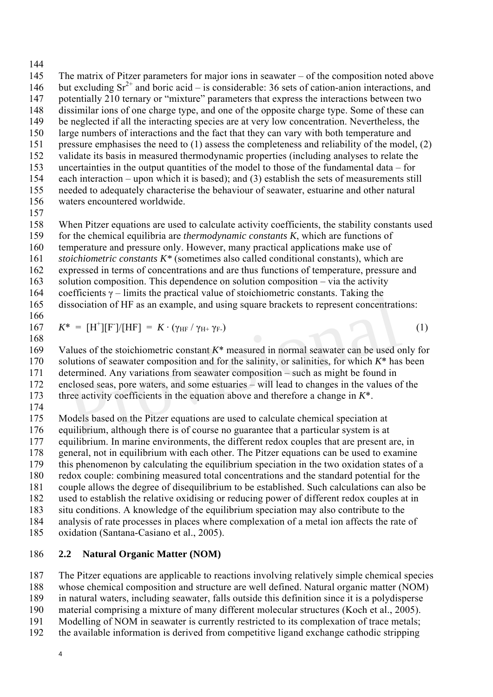144

- 145 The matrix of Pitzer parameters for major ions in seawater of the composition noted above 146 but excluding  $Sr^{2+}$  and boric acid – is considerable: 36 sets of cation-anion interactions, and 147 potentially 210 ternary or "mixture" parameters that express the interactions between two 148 dissimilar ions of one charge type, and one of the opposite charge type. Some of these can 149 be neglected if all the interacting species are at very low concentration. Nevertheless, the 150 large numbers of interactions and the fact that they can vary with both temperature and 151 pressure emphasises the need to (1) assess the completeness and reliability of the model, (2) 152 validate its basis in measured thermodynamic properties (including analyses to relate the 153 uncertainties in the output quantities of the model to those of the fundamental data – for 154 each interaction – upon which it is based); and (3) establish the sets of measurements still 155 needed to adequately characterise the behaviour of seawater, estuarine and other natural 156 waters encountered worldwide. 157
- 158 When Pitzer equations are used to calculate activity coefficients, the stability constants used 159 for the chemical equilibria are *thermodynamic constants K*, which are functions of

160 temperature and pressure only. However, many practical applications make use of

161 *stoichiometric constants K\** (sometimes also called conditional constants), which are

162 expressed in terms of concentrations and are thus functions of temperature, pressure and

163 solution composition. This dependence on solution composition – via the activity

164 coefficients  $\gamma$  – limits the practical value of stoichiometric constants. Taking the 165 dissociation of HF as an example, and using square brackets to represent concentrations:

166

 $K^* = [H^+][F^-]/[HF] = K \cdot (\gamma_{HF} / \gamma_{H^+} \gamma_{F^-})$  (1)

168

169 Values of the stoichiometric constant *K*\* measured in normal seawater can be used only for 170 solutions of seawater composition and for the salinity, or salinities, for which *K*\* has been 171 determined. Any variations from seawater composition – such as might be found in 172 enclosed seas, pore waters, and some estuaries – will lead to changes in the values of the 173 three activity coefficients in the equation above and therefore a change in *K*\*. 174 Exercise of HF as an example, and using square brackets to represent concentrations.<br>  $* = [H^+] [F^-]/[HF] = K \cdot (\gamma_{HF} / \gamma_{H^+} \gamma_F)$ <br>
alues of the stoichiometric constant  $K^*$  measured in normal seawater can be used o<br>
blutions of

175 Models based on the Pitzer equations are used to calculate chemical speciation at 176 equilibrium, although there is of course no guarantee that a particular system is at 177 equilibrium. In marine environments, the different redox couples that are present are, in 178 general, not in equilibrium with each other. The Pitzer equations can be used to examine 179 this phenomenon by calculating the equilibrium speciation in the two oxidation states of a 180 redox couple: combining measured total concentrations and the standard potential for the 181 couple allows the degree of disequilibrium to be established. Such calculations can also be 182 used to establish the relative oxidising or reducing power of different redox couples at in 183 situ conditions. A knowledge of the equilibrium speciation may also contribute to the 184 analysis of rate processes in places where complexation of a metal ion affects the rate of

185 oxidation (Santana-Casiano et al., 2005).

#### 186 **2.2 Natural Organic Matter (NOM)**

187 The Pitzer equations are applicable to reactions involving relatively simple chemical species 188 whose chemical composition and structure are well defined. Natural organic matter (NOM)

189 in natural waters, including seawater, falls outside this definition since it is a polydisperse

190 material comprising a mixture of many different molecular structures (Koch et al., 2005).

- 191 Modelling of NOM in seawater is currently restricted to its complexation of trace metals;
- 192 the available information is derived from competitive ligand exchange cathodic stripping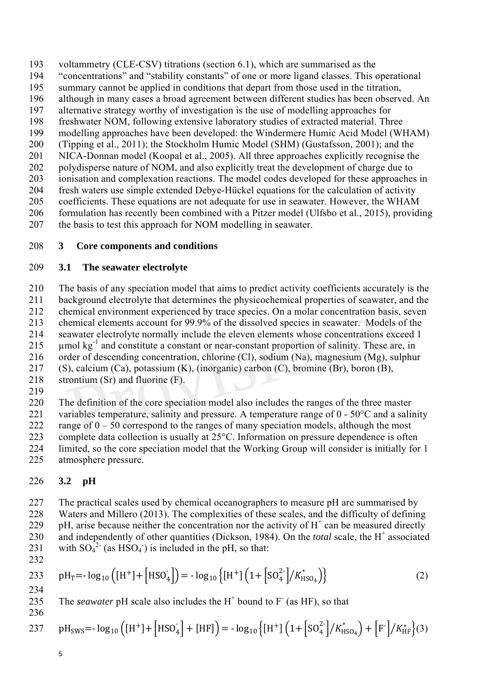193 voltammetry (CLE-CSV) titrations (section 6.1), which are summarised as the 194 "concentrations" and "stability constants" of one or more ligand classes. This operational 195 summary cannot be applied in conditions that depart from those used in the titration, 196 although in many cases a broad agreement between different studies has been observed. An 197 alternative strategy worthy of investigation is the use of modelling approaches for 198 freshwater NOM, following extensive laboratory studies of extracted material. Three 199 modelling approaches have been developed: the Windermere Humic Acid Model (WHAM) 200 (Tipping et al., 2011); the Stockholm Humic Model (SHM) (Gustafsson, 2001); and the 201 NICA-Donnan model (Koopal et al., 2005). All three approaches explicitly recognise the 202 polydisperse nature of NOM, and also explicitly treat the development of charge due to 203 ionisation and complexation reactions. The model codes developed for these approaches in 204 fresh waters use simple extended Debye-Hückel equations for the calculation of activity 205 coefficients. These equations are not adequate for use in seawater. However, the WHAM 206 formulation has recently been combined with a Pitzer model (Ulfsbo et al., 2015), providing

207 the basis to test this approach for NOM modelling in seawater.

### 208 **3 Core components and conditions**

#### 209 **3.1 The seawater electrolyte**

210 The basis of any speciation model that aims to predict activity coefficients accurately is the

211 background electrolyte that determines the physicochemical properties of seawater, and the

212 chemical environment experienced by trace species. On a molar concentration basis, seven

213 chemical elements account for 99.9% of the dissolved species in seawater. Models of the

214 seawater electrolyte normally include the eleven elements whose concentrations exceed 1

215 umol  $kg^{-1}$  and constitute a constant or near-constant proportion of salinity. These are, in

216 order of descending concentration, chlorine (Cl), sodium (Na), magnesium (Mg), sulphur

217 (S), calcium (Ca), potassium (K), (inorganic) carbon (C), bromine (Br), boron (B),

- 218 strontium (Sr) and fluorine (F).
- 219

220 The definition of the core speciation model also includes the ranges of the three master 221 variables temperature, salinity and pressure. A temperature range of  $0 - 50^{\circ}$ C and a salinity

222 range of  $0 - 50$  correspond to the ranges of many speciation models, although the most ackground electrolyte that determines the physicochemical properties of seawater, a<br>emical environment experienced by trace species. On a molar concentration basis,<br>nemical elements account for 99.9% of the dissolved spec

223 complete data collection is usually at 25°C. Information on pressure dependence is often

224 limited, so the core speciation model that the Working Group will consider is initially for 1

225 atmosphere pressure.

# 226 **3.2 pH**

227 The practical scales used by chemical oceanographers to measure pH are summarised by 228 Waters and Millero (2013). The complexities of these scales, and the difficulty of defining 229 pH, arise because neither the concentration nor the activity of  $H^+$  can be measured directly 230 and independently of other quantities (Dickson, 1984). On the *total* scale, the H<sup>+</sup> associated 231 with  $SO_4^2$ <sup>-</sup> (as HSO<sub>4</sub>) is included in the pH, so that:

232

$$
233 \quad pH_T = -\log_{10}\left([H^+] + [HSO_4^-\right]) = -\log_{10}\left\{[H^+] \left(1 + [SO_4^{2-}] / K_{HSO_4}^*\right)\right\}
$$
(2)

234

235 The *seawater* pH scale also includes the  $H^+$  bound to  $F^-$  (as HF), so that 236

237 
$$
pH_{SWS} = -\log_{10} \left( [H^+] + [HSO_4^{\dagger}] + [HF] \right) = -\log_{10} \left\{ [H^+] \left( 1 + [SO_4^{2}] / K_{HSO_4}^* \right) + [F^-] / K_{HF}^* \right\} (3)
$$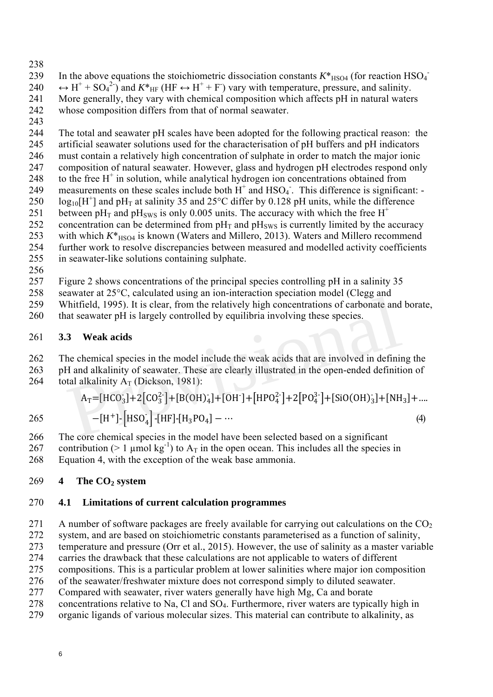238

239 In the above equations the stoichiometric dissociation constants  $K^*_{\text{HSO4}}$  (for reaction HSO<sub>4</sub>) 240  $\leftrightarrow$  H<sup>+</sup> + SO<sub>4</sub><sup>2</sup>) and  $K^*$ <sub>HF</sub> (HF  $\leftrightarrow$  H<sup>+</sup> + F) vary with temperature, pressure, and salinity. 241 More generally, they vary with chemical composition which affects pH in natural waters 242 whose composition differs from that of normal seawater.

243

244 The total and seawater pH scales have been adopted for the following practical reason: the 245 artificial seawater solutions used for the characterisation of pH buffers and pH indicators 246 must contain a relatively high concentration of sulphate in order to match the major ionic 247 composition of natural seawater. However, glass and hydrogen pH electrodes respond only 248 to the free  $H^+$  in solution, while analytical hydrogen ion concentrations obtained from 249 measurements on these scales include both  $H^+$  and  $HSO_4$ . This difference is significant: 250  $log_{10}[H^+]$  and pH<sub>T</sub> at salinity 35 and 25°C differ by 0.128 pH units, while the difference<br>251 between pH<sub>T</sub> and pH<sub>SWS</sub> is only 0.005 units. The accuracy with which the free H<sup>+</sup> between pH<sub>T</sub> and pH<sub>SWS</sub> is only 0.005 units. The accuracy with which the free H<sup>+</sup> 252 concentration can be determined from  $pH_T$  and  $pH_{sws}$  is currently limited by the accuracy 253 with which  $K^*$ <sub>HSO4</sub> is known (Waters and Millero, 2013). Waters and Millero recommend 254 further work to resolve discrepancies between measured and modelled activity coefficients

- 255 in seawater-like solutions containing sulphate.
- 256

257 Figure 2 shows concentrations of the principal species controlling pH in a salinity 35

258 seawater at 25°C, calculated using an ion-interaction speciation model (Clegg and

259 Whitfield, 1995). It is clear, from the relatively high concentrations of carbonate and borate,

260 that seawater pH is largely controlled by equilibria involving these species.

#### 261 **3.3 Weak acids**

#### 262 The chemical species in the model include the weak acids that are involved in defining the 263 pH and alkalinity of seawater. These are clearly illustrated in the open-ended definition of 264 total alkalinity  $A_T$  (Dickson, 1981):

259 Whittfield, 1995). It is clear, from the relatively high concentrations of carbonate and borate that seawater pH is largely controlled by equilibria involving these species.  
\n261 3.3 Weak acids  
\n262 The chemical species in the model include the weak acids that are involved in defining the pH and alkalinity of seawater. These are clearly illustrated in the open-ended definition of total alkalinity 
$$
A_T
$$
 (Dickson, 1981):  
\n
$$
A_T = [HCO_3] + 2[CO_3^2] + [B(OH)_4] + [OH^-] + [HPO_4^2] + 2[PO_4^3] + [SiO(OH)_3] + [NH_3] + ....
$$
\n265  $-[H^+] - [HSO_4] - [HF] - [H_3PO_4] - ...$  (4)

266 The core chemical species in the model have been selected based on a significant

267 contribution ( $> 1 \text{ \mu}$ mol kg<sup>-1</sup>) to A<sub>T</sub> in the open ocean. This includes all the species in 268 Equation 4, with the exception of the weak base ammonia.

#### 269 **4 The CO2 system**

#### 270 **4.1 Limitations of current calculation programmes**

271 A number of software packages are freely available for carrying out calculations on the  $CO<sub>2</sub>$ 

272 system, and are based on stoichiometric constants parameterised as a function of salinity,

273 temperature and pressure (Orr et al., 2015). However, the use of salinity as a master variable

274 carries the drawback that these calculations are not applicable to waters of different

275 compositions. This is a particular problem at lower salinities where major ion composition 276 of the seawater/freshwater mixture does not correspond simply to diluted seawater.

- 277 Compared with seawater, river waters generally have high Mg, Ca and borate
- 278 concentrations relative to Na. Cl and  $SO<sub>4</sub>$ . Furthermore, river waters are typically high in
- 279 organic ligands of various molecular sizes. This material can contribute to alkalinity, as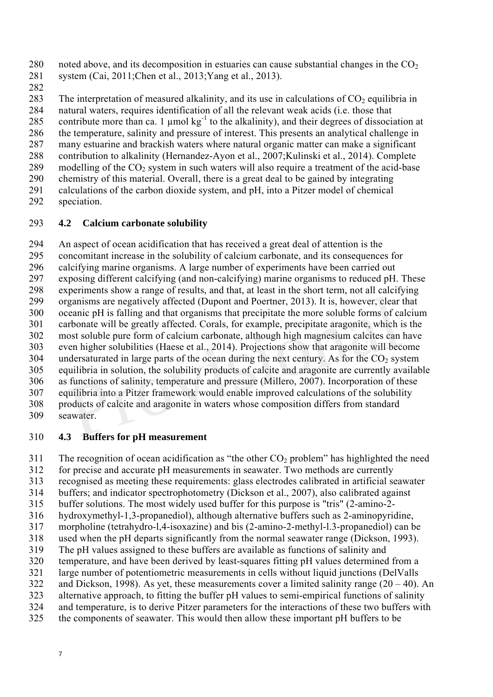280 noted above, and its decomposition in estuaries can cause substantial changes in the  $CO<sub>2</sub>$ 281 system (Cai, 2011;Chen et al., 2013;Yang et al., 2013).

282

283 The interpretation of measured alkalinity, and its use in calculations of  $CO<sub>2</sub>$  equilibria in

284 natural waters, requires identification of all the relevant weak acids (i.e. those that

285 contribute more than ca. 1  $\mu$ mol kg<sup>-1</sup> to the alkalinity), and their degrees of dissociation at

286 the temperature, salinity and pressure of interest. This presents an analytical challenge in

287 many estuarine and brackish waters where natural organic matter can make a significant 288 contribution to alkalinity (Hernandez-Ayon et al., 2007;Kulinski et al., 2014). Complete

- 289 modelling of the  $CO<sub>2</sub>$  system in such waters will also require a treatment of the acid-base
- 290 chemistry of this material. Overall, there is a great deal to be gained by integrating
- 291 calculations of the carbon dioxide system, and pH, into a Pitzer model of chemical
- 292 speciation.

### 293 **4.2 Calcium carbonate solubility**

294 An aspect of ocean acidification that has received a great deal of attention is the 295 concomitant increase in the solubility of calcium carbonate, and its consequences for 296 calcifying marine organisms. A large number of experiments have been carried out 297 exposing different calcifying (and non-calcifying) marine organisms to reduced pH. These 298 experiments show a range of results, and that, at least in the short term, not all calcifying 299 organisms are negatively affected (Dupont and Poertner, 2013). It is, however, clear that 300 oceanic pH is falling and that organisms that precipitate the more soluble forms of calcium 301 carbonate will be greatly affected. Corals, for example, precipitate aragonite, which is the 302 most soluble pure form of calcium carbonate, although high magnesium calcites can have 303 even higher solubilities (Haese et al., 2014). Projections show that aragonite will become  $304$  undersaturated in large parts of the ocean during the next century. As for the CO<sub>2</sub> system 305 equilibria in solution, the solubility products of calcite and aragonite are currently available 306 as functions of salinity, temperature and pressure (Millero, 2007). Incorporation of these 307 equilibria into a Pitzer framework would enable improved calculations of the solubility 308 products of calcite and aragonite in waters whose composition differs from standard 309 seawater. reganisms are negatively affected (Dupont and Poertner, 2013). It is, however, clear<br>ceanic pH is falling and that organisms that precipitate the more soluble forms of ca<br>rrbonate will be greatly affected. Corals, for exam

### 310 **4.3 Buffers for pH measurement**

311 The recognition of ocean acidification as "the other  $CO<sub>2</sub>$  problem" has highlighted the need

312 for precise and accurate pH measurements in seawater. Two methods are currently

313 recognised as meeting these requirements: glass electrodes calibrated in artificial seawater

314 buffers; and indicator spectrophotometry (Dickson et al., 2007), also calibrated against

315 buffer solutions. The most widely used buffer for this purpose is "tris" (2-amino-2-

316 hydroxymethyl-1,3-propanediol), although alternative buffers such as 2-aminopyridine,

317 morpholine (tetrahydro-l,4-isoxazine) and bis (2-amino-2-methyl-l.3-propanediol) can be

318 used when the pH departs significantly from the normal seawater range (Dickson, 1993). 319 The pH values assigned to these buffers are available as functions of salinity and

320 temperature, and have been derived by least-squares fitting pH values determined from a

321 large number of potentiometric measurements in cells without liquid junctions (DelValls

322 and Dickson, 1998). As yet, these measurements cover a limited salinity range  $(20 - 40)$ . An

323 alternative approach, to fitting the buffer pH values to semi-empirical functions of salinity

324 and temperature, is to derive Pitzer parameters for the interactions of these two buffers with

325 the components of seawater. This would then allow these important pH buffers to be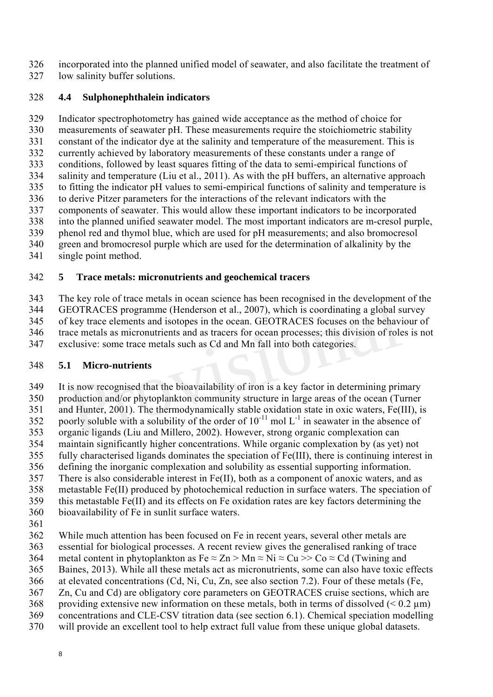326 incorporated into the planned unified model of seawater, and also facilitate the treatment of 327 low salinity buffer solutions.

### 328 **4.4 Sulphonephthalein indicators**

329 Indicator spectrophotometry has gained wide acceptance as the method of choice for 330 measurements of seawater pH. These measurements require the stoichiometric stability 331 constant of the indicator dye at the salinity and temperature of the measurement. This is 332 currently achieved by laboratory measurements of these constants under a range of 333 conditions, followed by least squares fitting of the data to semi-empirical functions of 334 salinity and temperature (Liu et al., 2011). As with the pH buffers, an alternative approach 335 to fitting the indicator pH values to semi-empirical functions of salinity and temperature is 336 to derive Pitzer parameters for the interactions of the relevant indicators with the 337 components of seawater. This would allow these important indicators to be incorporated 338 into the planned unified seawater model. The most important indicators are m-cresol purple, 339 phenol red and thymol blue, which are used for pH measurements; and also bromocresol 340 green and bromocresol purple which are used for the determination of alkalinity by the 341 single point method.

#### 342 **5 Trace metals: micronutrients and geochemical tracers**

343 The key role of trace metals in ocean science has been recognised in the development of the 344 GEOTRACES programme (Henderson et al., 2007), which is coordinating a global survey 345 of key trace elements and isotopes in the ocean. GEOTRACES focuses on the behaviour of 346 trace metals as micronutrients and as tracers for ocean processes; this division of roles is not 347 exclusive: some trace metals such as Cd and Mn fall into both categories.

### 348 **5.1 Micro-nutrients**

349 It is now recognised that the bioavailability of iron is a key factor in determining primary 350 production and/or phytoplankton community structure in large areas of the ocean (Turner 351 and Hunter, 2001). The thermodynamically stable oxidation state in oxic waters, Fe(III), is 352 poorly soluble with a solubility of the order of  $10^{-11}$  mol L<sup>-1</sup> in seawater in the absence of 353 organic ligands (Liu and Millero, 2002). However, strong organic complexation can 354 maintain significantly higher concentrations. While organic complexation by (as yet) not 355 fully characterised ligands dominates the speciation of Fe(III), there is continuing interest in 356 defining the inorganic complexation and solubility as essential supporting information. he key role of trace metals in ocean science has been recognised in the developmen<br>EOTRACES programme (Henderson et al., 2007), which is coordinating a global s<br>f key trace elements and isotopes in the ocean. GEOTRACES fo

- 357 There is also considerable interest in Fe(II), both as a component of anoxic waters, and as
- 358 metastable Fe(II) produced by photochemical reduction in surface waters. The speciation of
- 359 this metastable Fe(II) and its effects on Fe oxidation rates are key factors determining the
- 360 bioavailability of Fe in sunlit surface waters.
- 361
- 362 While much attention has been focused on Fe in recent years, several other metals are
- 363 essential for biological processes. A recent review gives the generalised ranking of trace
- 364 metal content in phytoplankton as Fe  $\approx$  Zn  $>$  Mn  $\approx$  Ni  $\approx$  Cu  $>$  Co  $\approx$  Cd (Twining and
- 365 Baines, 2013). While all these metals act as micronutrients, some can also have toxic effects
- 366 at elevated concentrations (Cd, Ni, Cu, Zn, see also section 7.2). Four of these metals (Fe,
- 367 Zn, Cu and Cd) are obligatory core parameters on GEOTRACES cruise sections, which are
- 368 providing extensive new information on these metals, both in terms of dissolved  $(< 0.2 \text{ }\mu\text{m})$
- 369 concentrations and CLE-CSV titration data (see section 6.1). Chemical speciation modelling
- 370 will provide an excellent tool to help extract full value from these unique global datasets.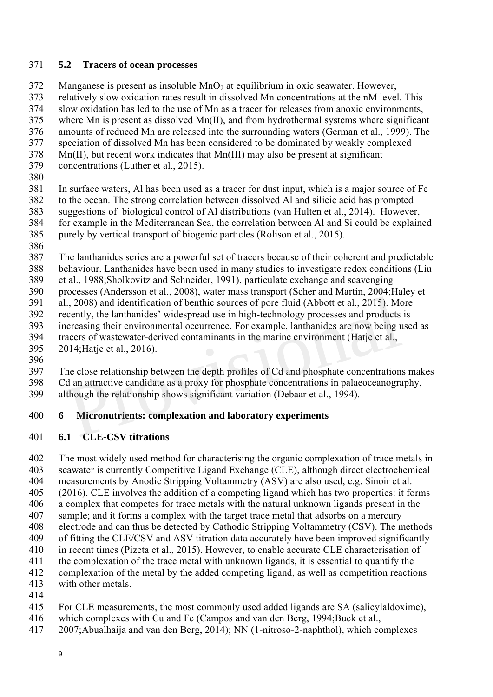#### 371 **5.2 Tracers of ocean processes**

372 Manganese is present as insoluble  $MnO<sub>2</sub>$  at equilibrium in oxic seawater. However,

373 relatively slow oxidation rates result in dissolved Mn concentrations at the nM level. This

374 slow oxidation has led to the use of Mn as a tracer for releases from anoxic environments,

375 where Mn is present as dissolved Mn(II), and from hydrothermal systems where significant

- 376 amounts of reduced Mn are released into the surrounding waters (German et al., 1999). The 377 speciation of dissolved Mn has been considered to be dominated by weakly complexed
- 378 Mn(II), but recent work indicates that Mn(III) may also be present at significant
- 379 concentrations (Luther et al., 2015).
- 380

381 In surface waters, Al has been used as a tracer for dust input, which is a major source of Fe 382 to the ocean. The strong correlation between dissolved Al and silicic acid has prompted

- 383 suggestions of biological control of Al distributions (van Hulten et al., 2014). However,
- 384 for example in the Mediterranean Sea, the correlation between Al and Si could be explained
- 385 purely by vertical transport of biogenic particles (Rolison et al., 2015).
- 386

387 The lanthanides series are a powerful set of tracers because of their coherent and predictable 388 behaviour. Lanthanides have been used in many studies to investigate redox conditions (Liu

389 et al., 1988;Sholkovitz and Schneider, 1991), particulate exchange and scavenging

390 processes (Andersson et al., 2008), water mass transport (Scher and Martin, 2004;Haley et

391 al., 2008) and identification of benthic sources of pore fluid (Abbott et al., 2015). More

- 392 recently, the lanthanides' widespread use in high-technology processes and products is
- 393 increasing their environmental occurrence. For example, lanthanides are now being used as
- 394 tracers of wastewater-derived contaminants in the marine environment (Hatje et al.,
- 395 2014;Hatje et al., 2016).
- 396

397 The close relationship between the depth profiles of Cd and phosphate concentrations makes

398 Cd an attractive candidate as a proxy for phosphate concentrations in palaeoceanography, ., 2008) and identification of benthic sources of pore fluid (Abbott et al., 2015). Momethly, the lanthanides' widespread use in high-technology processes and products creasing their environmental occurrence. For example,

399 although the relationship shows significant variation (Debaar et al., 1994).

# 400 **6 Micronutrients: complexation and laboratory experiments**

# 401 **6.1 CLE-CSV titrations**

402 The most widely used method for characterising the organic complexation of trace metals in 403 seawater is currently Competitive Ligand Exchange (CLE), although direct electrochemical 404 measurements by Anodic Stripping Voltammetry (ASV) are also used, e.g. Sinoir et al. 405 (2016). CLE involves the addition of a competing ligand which has two properties: it forms 406 a complex that competes for trace metals with the natural unknown ligands present in the

- 407 sample; and it forms a complex with the target trace metal that adsorbs on a mercury
- 408 electrode and can thus be detected by Cathodic Stripping Voltammetry (CSV). The methods
- 409 of fitting the CLE/CSV and ASV titration data accurately have been improved significantly 410 in recent times (Pizeta et al., 2015). However, to enable accurate CLE characterisation of
- 411 the complexation of the trace metal with unknown ligands, it is essential to quantify the
- 412 complexation of the metal by the added competing ligand, as well as competition reactions
- 413 with other metals.
- 414
- 415 For CLE measurements, the most commonly used added ligands are SA (salicylaldoxime),
- 416 which complexes with Cu and Fe (Campos and van den Berg, 1994;Buck et al.,
- 417 2007;Abualhaija and van den Berg, 2014); NN (1-nitroso-2-naphthol), which complexes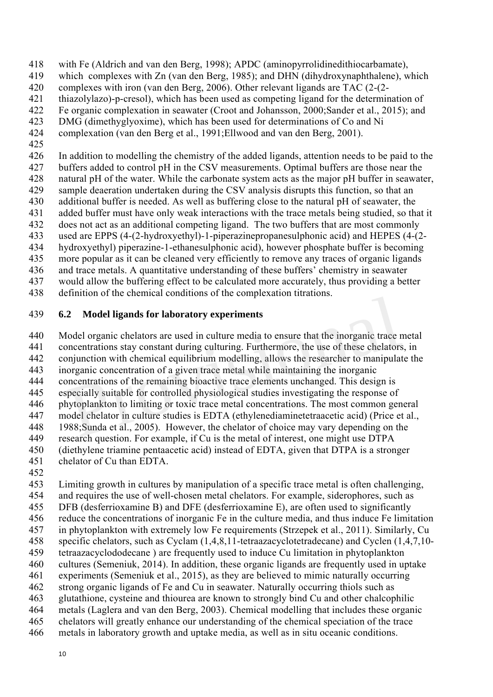418 with Fe (Aldrich and van den Berg, 1998); APDC (aminopyrrolidinedithiocarbamate),

- 419 which complexes with Zn (van den Berg, 1985); and DHN (dihydroxynaphthalene), which
- 420 complexes with iron (van den Berg, 2006). Other relevant ligands are TAC (2-(2-
- 421 thiazolylazo)-p-cresol), which has been used as competing ligand for the determination of
- 422 Fe organic complexation in seawater (Croot and Johansson, 2000;Sander et al., 2015); and
- 423 DMG (dimethyglyoxime), which has been used for determinations of Co and Ni
- 424 complexation (van den Berg et al., 1991;Ellwood and van den Berg, 2001).
- 425

426 In addition to modelling the chemistry of the added ligands, attention needs to be paid to the 427 buffers added to control pH in the CSV measurements. Optimal buffers are those near the 428 natural pH of the water. While the carbonate system acts as the major pH buffer in seawater, 429 sample deaeration undertaken during the CSV analysis disrupts this function, so that an

430 additional buffer is needed. As well as buffering close to the natural pH of seawater, the

- 431 added buffer must have only weak interactions with the trace metals being studied, so that it
- 432 does not act as an additional competing ligand. The two buffers that are most commonly
- 433 used are EPPS (4-(2-hydroxyethyl)-1-piperazinepropanesulphonic acid) and HEPES (4-(2-
- 434 hydroxyethyl) piperazine-1-ethanesulphonic acid), however phosphate buffer is becoming
- 435 more popular as it can be cleaned very efficiently to remove any traces of organic ligands
- 436 and trace metals. A quantitative understanding of these buffers' chemistry in seawater
- 437 would allow the buffering effect to be calculated more accurately, thus providing a better 438 definition of the chemical conditions of the complexation titrations.
- 439 **6.2 Model ligands for laboratory experiments**

440 Model organic chelators are used in culture media to ensure that the inorganic trace metal 2 Model ligands for laboratory experiments<br>
12 Model ligands for laboratory experiments<br>
12 Model organic chelators are used in culture media to ensure that the inorganic trace r<br>
10.1 metations stay constant during cultur

441 concentrations stay constant during culturing. Furthermore, the use of these chelators, in

- 442 conjunction with chemical equilibrium modelling, allows the researcher to manipulate the 443 inorganic concentration of a given trace metal while maintaining the inorganic
- 444 concentrations of the remaining bioactive trace elements unchanged. This design is
- 445 especially suitable for controlled physiological studies investigating the response of
- 446 phytoplankton to limiting or toxic trace metal concentrations. The most common general
- 447 model chelator in culture studies is EDTA (ethylenediaminetetraacetic acid) (Price et al.,
- 448 1988;Sunda et al., 2005). However, the chelator of choice may vary depending on the
- 449 research question. For example, if Cu is the metal of interest, one might use DTPA
- 450 (diethylene triamine pentaacetic acid) instead of EDTA, given that DTPA is a stronger
- 451 chelator of Cu than EDTA.
- 452

453 Limiting growth in cultures by manipulation of a specific trace metal is often challenging, 454 and requires the use of well-chosen metal chelators. For example, siderophores, such as 455 DFB (desferrioxamine B) and DFE (desferrioxamine E), are often used to significantly 456 reduce the concentrations of inorganic Fe in the culture media, and thus induce Fe limitation 457 in phytoplankton with extremely low Fe requirements (Strzepek et al., 2011). Similarly, Cu 458 specific chelators, such as Cyclam (1,4,8,11-tetraazacyclotetradecane) and Cyclen (1,4,7,10- 459 tetraazacyclododecane ) are frequently used to induce Cu limitation in phytoplankton 460 cultures (Semeniuk, 2014). In addition, these organic ligands are frequently used in uptake 461 experiments (Semeniuk et al., 2015), as they are believed to mimic naturally occurring 462 strong organic ligands of Fe and Cu in seawater. Naturally occurring thiols such as 463 glutathione, cysteine and thiourea are known to strongly bind Cu and other chalcophilic 464 metals (Laglera and van den Berg, 2003). Chemical modelling that includes these organic 465 chelators will greatly enhance our understanding of the chemical speciation of the trace

466 metals in laboratory growth and uptake media, as well as in situ oceanic conditions.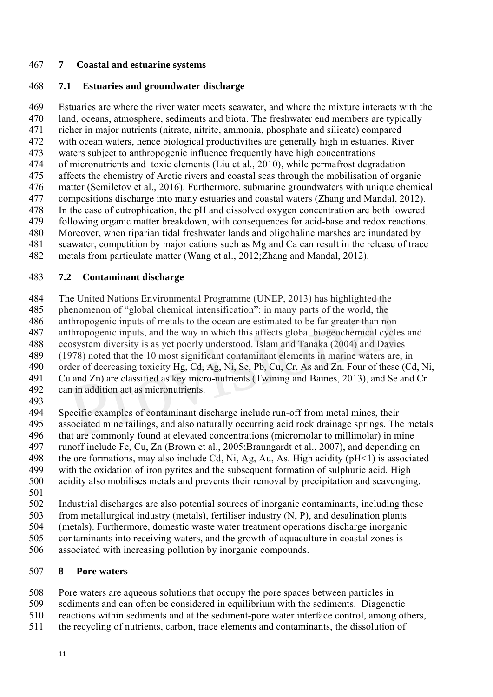#### 467 **7 Coastal and estuarine systems**

### 468 **7.1 Estuaries and groundwater discharge**

469 Estuaries are where the river water meets seawater, and where the mixture interacts with the 470 land, oceans, atmosphere, sediments and biota. The freshwater end members are typically 471 richer in major nutrients (nitrate, nitrite, ammonia, phosphate and silicate) compared 472 with ocean waters, hence biological productivities are generally high in estuaries. River 473 waters subject to anthropogenic influence frequently have high concentrations 474 of micronutrients and toxic elements (Liu et al., 2010), while permafrost degradation 475 affects the chemistry of Arctic rivers and coastal seas through the mobilisation of organic 476 matter (Semiletov et al., 2016). Furthermore, submarine groundwaters with unique chemical 477 compositions discharge into many estuaries and coastal waters (Zhang and Mandal, 2012). 478 In the case of eutrophication, the pH and dissolved oxygen concentration are both lowered 479 following organic matter breakdown, with consequences for acid-base and redox reactions. 480 Moreover, when riparian tidal freshwater lands and oligohaline marshes are inundated by 481 seawater, competition by major cations such as Mg and Ca can result in the release of trace

482 metals from particulate matter (Wang et al., 2012;Zhang and Mandal, 2012).

#### 483 **7.2 Contaminant discharge**

484 The United Nations Environmental Programme (UNEP, 2013) has highlighted the

485 phenomenon of "global chemical intensification": in many parts of the world, the 486 anthropogenic inputs of metals to the ocean are estimated to be far greater than non-

487 anthropogenic inputs, and the way in which this affects global biogeochemical cycles and

488 ecosystem diversity is as yet poorly understood. Islam and Tanaka (2004) and Davies

489 (1978) noted that the 10 most significant contaminant elements in marine waters are, in

490 order of decreasing toxicity Hg, Cd, Ag, Ni, Se, Pb, Cu, Cr, As and Zn. Four of these (Cd, Ni,

- 491 Cu and Zn) are classified as key micro-nutrients (Twining and Baines, 2013), and Se and Cr 492 can in addition act as micronutrients.
- 493

494 Specific examples of contaminant discharge include run-off from metal mines, their 495 associated mine tailings, and also naturally occurring acid rock drainage springs. The metals 496 that are commonly found at elevated concentrations (micromolar to millimolar) in mine 497 runoff include Fe, Cu, Zn (Brown et al., 2005;Braungardt et al., 2007), and depending on 498 the ore formations, may also include Cd, Ni, Ag, Au, As. High acidity ( $pH<1$ ) is associated 499 with the oxidation of iron pyrites and the subsequent formation of sulphuric acid. High 500 acidity also mobilises metals and prevents their removal by precipitation and scavenging. he United Nations Environmental Programme (UNEP, 2013) has highlighted the<br>henomenon of "global chemical intensification": in many parts of the world, the<br>nthropogenic inputs of metals to the ocean are estimated to be far

501

502 Industrial discharges are also potential sources of inorganic contaminants, including those

503 from metallurgical industry (metals), fertiliser industry (N, P), and desalination plants

504 (metals). Furthermore, domestic waste water treatment operations discharge inorganic 505 contaminants into receiving waters, and the growth of aquaculture in coastal zones is

506 associated with increasing pollution by inorganic compounds.

### 507 **8 Pore waters**

508 Pore waters are aqueous solutions that occupy the pore spaces between particles in

- 509 sediments and can often be considered in equilibrium with the sediments. Diagenetic
- 510 reactions within sediments and at the sediment-pore water interface control, among others,
- 511 the recycling of nutrients, carbon, trace elements and contaminants, the dissolution of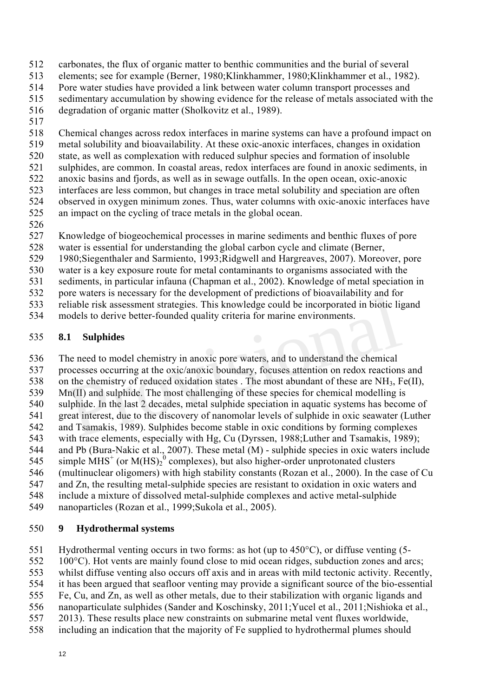- 512 carbonates, the flux of organic matter to benthic communities and the burial of several
- 513 elements; see for example (Berner, 1980;Klinkhammer, 1980;Klinkhammer et al., 1982).
- 514 Pore water studies have provided a link between water column transport processes and
- 515 sedimentary accumulation by showing evidence for the release of metals associated with the
- 516 degradation of organic matter (Sholkovitz et al., 1989).
- 517

518 Chemical changes across redox interfaces in marine systems can have a profound impact on 519 metal solubility and bioavailability. At these oxic-anoxic interfaces, changes in oxidation 520 state, as well as complexation with reduced sulphur species and formation of insoluble 521 sulphides, are common. In coastal areas, redox interfaces are found in anoxic sediments, in 522 anoxic basins and fjords, as well as in sewage outfalls. In the open ocean, oxic-anoxic 523 interfaces are less common, but changes in trace metal solubility and speciation are often 524 observed in oxygen minimum zones. Thus, water columns with oxic-anoxic interfaces have

- 525 an impact on the cycling of trace metals in the global ocean.
- 526
- 527 Knowledge of biogeochemical processes in marine sediments and benthic fluxes of pore
- 528 water is essential for understanding the global carbon cycle and climate (Berner,
- 529 1980;Siegenthaler and Sarmiento, 1993;Ridgwell and Hargreaves, 2007). Moreover, pore
- 530 water is a key exposure route for metal contaminants to organisms associated with the
- 531 sediments, in particular infauna (Chapman et al., 2002). Knowledge of metal speciation in
- 532 pore waters is necessary for the development of predictions of bioavailability and for
- 533 reliable risk assessment strategies. This knowledge could be incorporated in biotic ligand
- 534 models to derive better-founded quality criteria for marine environments.

# 535 **8.1 Sulphides**

536 The need to model chemistry in anoxic pore waters, and to understand the chemical 537 processes occurring at the oxic/anoxic boundary, focuses attention on redox reactions and 538 on the chemistry of reduced oxidation states. The most abundant of these are  $NH_3$ , Fe(II), 539 Mn(II) and sulphide. The most challenging of these species for chemical modelling is Etiable risk assessment strategies. This knowledge could be incorporated in biotic lightliable risk assessment strategies. This knowledge could be incorporated in biotic lightlodels to derive better-founded quality criteri

- 540 sulphide. In the last 2 decades, metal sulphide speciation in aquatic systems has become of 541 great interest, due to the discovery of nanomolar levels of sulphide in oxic seawater (Luther
- 542 and Tsamakis, 1989). Sulphides become stable in oxic conditions by forming complexes
- 543 with trace elements, especially with Hg, Cu (Dyrssen, 1988;Luther and Tsamakis, 1989);
- 544 and Pb (Bura-Nakic et al., 2007). These metal (M) sulphide species in oxic waters include 545 simple  $MHS<sup>+</sup>$  (or  $M(HS)<sub>2</sub><sup>0</sup>$  complexes), but also higher-order unprotonated clusters
- 546 (multinuclear oligomers) with high stability constants (Rozan et al., 2000). In the case of Cu
- 547 and Zn, the resulting metal-sulphide species are resistant to oxidation in oxic waters and
- 548 include a mixture of dissolved metal-sulphide complexes and active metal-sulphide
- 549 nanoparticles (Rozan et al., 1999;Sukola et al., 2005).

# 550 **9 Hydrothermal systems**

551 Hydrothermal venting occurs in two forms: as hot (up to 450°C), or diffuse venting (5-

- 552 100°C). Hot vents are mainly found close to mid ocean ridges, subduction zones and arcs;
- 553 whilst diffuse venting also occurs off axis and in areas with mild tectonic activity. Recently,
- 554 it has been argued that seafloor venting may provide a significant source of the bio-essential
- 555 Fe, Cu, and Zn, as well as other metals, due to their stabilization with organic ligands and
- 556 nanoparticulate sulphides (Sander and Koschinsky, 2011;Yucel et al., 2011;Nishioka et al.,
- 557 2013). These results place new constraints on submarine metal vent fluxes worldwide,
- 558 including an indication that the majority of Fe supplied to hydrothermal plumes should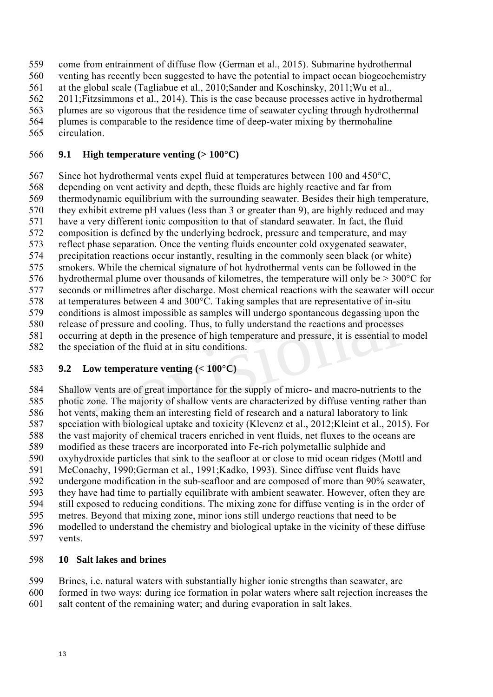559 come from entrainment of diffuse flow (German et al., 2015). Submarine hydrothermal 560 venting has recently been suggested to have the potential to impact ocean biogeochemistry

561 at the global scale (Tagliabue et al., 2010;Sander and Koschinsky, 2011;Wu et al.,

562 2011;Fitzsimmons et al., 2014). This is the case because processes active in hydrothermal

- 563 plumes are so vigorous that the residence time of seawater cycling through hydrothermal
- 564 plumes is comparable to the residence time of deep-water mixing by thermohaline
- 565 circulation.

### 566 **9.1 High temperature venting (> 100°C)**

567 Since hot hydrothermal vents expel fluid at temperatures between 100 and 450°C,

568 depending on vent activity and depth, these fluids are highly reactive and far from

569 thermodynamic equilibrium with the surrounding seawater. Besides their high temperature,

570 they exhibit extreme pH values (less than 3 or greater than 9), are highly reduced and may 571 have a very different ionic composition to that of standard seawater. In fact, the fluid

572 composition is defined by the underlying bedrock, pressure and temperature, and may

573 reflect phase separation. Once the venting fluids encounter cold oxygenated seawater,

- 574 precipitation reactions occur instantly, resulting in the commonly seen black (or white)
- 575 smokers. While the chemical signature of hot hydrothermal vents can be followed in the
- 576 hydrothermal plume over thousands of kilometres, the temperature will only be  $>$  300 $^{\circ}$ C for

577 seconds or millimetres after discharge. Most chemical reactions with the seawater will occur

578 at temperatures between 4 and 300°C. Taking samples that are representative of in-situ

579 conditions is almost impossible as samples will undergo spontaneous degassing upon the 580 release of pressure and cooling. Thus, to fully understand the reactions and processes

581 occurring at depth in the presence of high temperature and pressure, it is essential to model

582 the speciation of the fluid at in situ conditions.

# 583 **9.2 Low temperature venting (< 100°C)**

584 Shallow vents are of great importance for the supply of micro- and macro-nutrients to the 585 photic zone. The majority of shallow vents are characterized by diffuse venting rather than 586 hot vents, making them an interesting field of research and a natural laboratory to link 587 speciation with biological uptake and toxicity (Klevenz et al., 2012;Kleint et al., 2015). For 588 the vast majority of chemical tracers enriched in vent fluids, net fluxes to the oceans are 589 modified as these tracers are incorporated into Fe-rich polymetallic sulphide and 590 oxyhydroxide particles that sink to the seafloor at or close to mid ocean ridges (Mottl and 591 McConachy, 1990;German et al., 1991;Kadko, 1993). Since diffuse vent fluids have 592 undergone modification in the sub-seafloor and are composed of more than 90% seawater, 593 they have had time to partially equilibrate with ambient seawater. However, often they are 594 still exposed to reducing conditions. The mixing zone for diffuse venting is in the order of 595 metres. Beyond that mixing zone, minor ions still undergo reactions that need to be 596 modelled to understand the chemistry and biological uptake in the vicinity of these diffuse 597 vents. temperatures between 4 and 300°C. Taking samples that are representative of in-sinualitions is almost impossible as samples will undergo spontaneous degassing upor<br>Providions is almost impossible as samples will undergo sp

# 598 **10 Salt lakes and brines**

599 Brines, i.e. natural waters with substantially higher ionic strengths than seawater, are

600 formed in two ways: during ice formation in polar waters where salt rejection increases the 601 salt content of the remaining water; and during evaporation in salt lakes.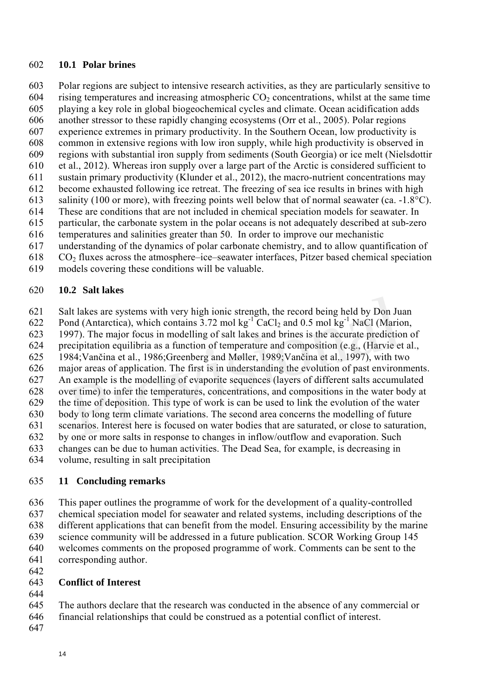#### 602 **10.1 Polar brines**

603 Polar regions are subject to intensive research activities, as they are particularly sensitive to 604 rising temperatures and increasing atmospheric  $CO<sub>2</sub>$  concentrations, whilst at the same time 605 playing a key role in global biogeochemical cycles and climate. Ocean acidification adds 606 another stressor to these rapidly changing ecosystems (Orr et al., 2005). Polar regions 607 experience extremes in primary productivity. In the Southern Ocean, low productivity is 608 common in extensive regions with low iron supply, while high productivity is observed in 609 regions with substantial iron supply from sediments (South Georgia) or ice melt (Nielsdottir 610 et al., 2012). Whereas iron supply over a large part of the Arctic is considered sufficient to 611 sustain primary productivity (Klunder et al., 2012), the macro-nutrient concentrations may 612 become exhausted following ice retreat. The freezing of sea ice results in brines with high 613 salinity (100 or more), with freezing points well below that of normal seawater (ca. -1.8°C). 614 These are conditions that are not included in chemical speciation models for seawater. In 615 particular, the carbonate system in the polar oceans is not adequately described at sub-zero 616 temperatures and salinities greater than 50. In order to improve our mechanistic 617 understanding of the dynamics of polar carbonate chemistry, and to allow quantification of

 $618$  CO<sub>2</sub> fluxes across the atmosphere–ice–seawater interfaces, Pitzer based chemical speciation

619 models covering these conditions will be valuable.

#### 620 **10.2 Salt lakes**

621 Salt lakes are systems with very high ionic strength, the record being held by Don Juan

622 Pond (Antarctica), which contains  $3.72 \text{ mol kg}^{-1}$  CaCl<sub>2</sub> and 0.5 mol kg<sup>-1</sup> NaCl (Marion,

623 1997). The major focus in modelling of salt lakes and brines is the accurate prediction of

624 precipitation equilibria as a function of temperature and composition (e.g., (Harvie et al.,

625 1984;Vančina et al., 1986;Greenberg and Møller, 1989;Vančina et al., 1997), with two

626 major areas of application. The first is in understanding the evolution of past environments.

627 An example is the modelling of evaporite sequences (layers of different salts accumulated 628 over time) to infer the temperatures, concentrations, and compositions in the water body at

629 the time of deposition. This type of work is can be used to link the evolution of the water

630 body to long term climate variations. The second area concerns the modelling of future alt lakes are systems with very high ionic strength, the record being held by Don Ju<br>ond (Antarctica), which contains 3.72 mol kg<sup>-1</sup> CaCl<sub>2</sub> and 0.5 mol kg<sup>-1</sup> NaCl (Maric<br>997). The major focus in modelling of salt lakes

631 scenarios. Interest here is focused on water bodies that are saturated, or close to saturation,

632 by one or more salts in response to changes in inflow/outflow and evaporation. Such

633 changes can be due to human activities. The Dead Sea, for example, is decreasing in

634 volume, resulting in salt precipitation

### 635 **11 Concluding remarks**

636 This paper outlines the programme of work for the development of a quality-controlled 637 chemical speciation model for seawater and related systems, including descriptions of the 638 different applications that can benefit from the model. Ensuring accessibility by the marine 639 science community will be addressed in a future publication. SCOR Working Group 145 640 welcomes comments on the proposed programme of work. Comments can be sent to the 641 corresponding author.

642

#### 643 **Conflict of Interest**  644

645 The authors declare that the research was conducted in the absence of any commercial or 646 financial relationships that could be construed as a potential conflict of interest.

647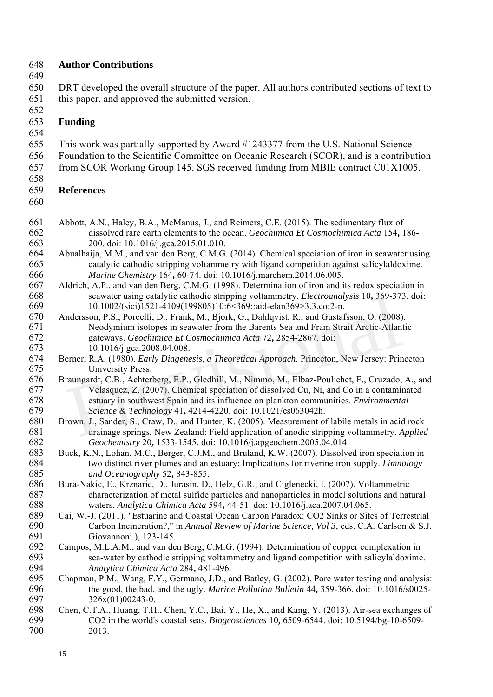#### 648 **Author Contributions**

649

650 DRT developed the overall structure of the paper. All authors contributed sections of text to 651 this paper, and approved the submitted version.

652

#### 653 **Funding**

- 654
- 655 This work was partially supported by Award #1243377 from the U.S. National Science 656 Foundation to the Scientific Committee on Oceanic Research (SCOR), and is a contribution
- 657 from SCOR Working Group 145. SGS received funding from MBIE contract C01X1005.
- 658

### 659 **References**

- 660
- 661 Abbott, A.N., Haley, B.A., McManus, J., and Reimers, C.E. (2015). The sedimentary flux of 662 dissolved rare earth elements to the ocean. *Geochimica Et Cosmochimica Acta* 154**,** 186- 663 200. doi: 10.1016/j.gca.2015.01.010.
- 664 Abualhaija, M.M., and van den Berg, C.M.G. (2014). Chemical speciation of iron in seawater using 665 catalytic cathodic stripping voltammetry with ligand competition against salicylaldoxime. 666 *Marine Chemistry* 164**,** 60-74. doi: 10.1016/j.marchem.2014.06.005.
- 667 Aldrich, A.P., and van den Berg, C.M.G. (1998). Determination of iron and its redox speciation in 668 seawater using catalytic cathodic stripping voltammetry. *Electroanalysis* 10**,** 369-373. doi: 669 10.1002/(sici)1521-4109(199805)10:6<369::aid-elan369>3.3.co;2-n.
- 670 Andersson, P.S., Porcelli, D., Frank, M., Bjork, G., Dahlqvist, R., and Gustafsson, O. (2008). 671 Neodymium isotopes in seawater from the Barents Sea and Fram Strait Arctic-Atlantic 672 gateways. *Geochimica Et Cosmochimica Acta* 72**,** 2854-2867. doi: 673 10.1016/j.gca.2008.04.008. seawater using claarytic canonic stripping voltainmetry. *Electromatysts* 10, 509-57<br>10.1002/(sici)1521-4109(199805)10:6<369::aid-elan369>3.3.co;2-n.<br>ndersson, P.S., Porcelli, D., Frank, M., Bjork, G., Dahlqvist, R., and G
- 674 Berner, R.A. (1980). *Early Diagenesis, a Theoretical Approach.* Princeton, New Jersey: Princeton 675 University Press.
- 676 Braungardt, C.B., Achterberg, E.P., Gledhill, M., Nimmo, M., Elbaz-Poulichet, F., Cruzado, A., and 677 Velasquez, Z. (2007). Chemical speciation of dissolved Cu, Ni, and Co in a contaminated 678 estuary in southwest Spain and its influence on plankton communities. *Environmental*
- 679 *Science & Technology* 41**,** 4214-4220. doi: 10.1021/es063042h. Brown, J., Sander, S., Craw, D., and Hunter, K. (2005). Measurement of labile metals in acid rock 681 drainage springs, New Zealand: Field application of anodic stripping voltammetry. *Applied*  682 *Geochemistry* 20**,** 1533-1545. doi: 10.1016/j.apgeochem.2005.04.014.
- 683 Buck, K.N., Lohan, M.C., Berger, C.J.M., and Bruland, K.W. (2007). Dissolved iron speciation in 684 two distinct river plumes and an estuary: Implications for riverine iron supply. *Limnology*  685 *and Oceanography* 52**,** 843-855.
- 686 Bura-Nakic, E., Krznaric, D., Jurasin, D., Helz, G.R., and Ciglenecki, I. (2007). Voltammetric 687 characterization of metal sulfide particles and nanoparticles in model solutions and natural<br>688 waters. Analytica Chimica Acta 594, 44-51. doi: 10.1016/i.aca.2007.04.065. 688 waters. *Analytica Chimica Acta* 594**,** 44-51. doi: 10.1016/j.aca.2007.04.065.
- 689 Cai, W.-J. (2011). "Estuarine and Coastal Ocean Carbon Paradox: CO2 Sinks or Sites of Terrestrial 690 Carbon Incineration?," in *Annual Review of Marine Science, Vol 3,* eds. C.A. Carlson & S.J. 691 Giovannoni.), 123-145.
- 692 Campos, M.L.A.M., and van den Berg, C.M.G. (1994). Determination of copper complexation in<br>693 sea-water by cathodic stripping voltammetry and ligand competition with salicylaldoxime 693 sea-water by cathodic stripping voltammetry and ligand competition with salicylaldoxime.<br>694 *Analytica Chimica Acta* 284, 481-496. 694 *Analytica Chimica Acta* 284**,** 481-496.
- 695 Chapman, P.M., Wang, F.Y., Germano, J.D., and Batley, G. (2002). Pore water testing and analysis: 696 the good, the bad, and the ugly. *Marine Pollution Bulletin* 44**,** 359-366. doi: 10.1016/s0025- 697 326x(01)00243-0.
- 698 Chen, C.T.A., Huang, T.H., Chen, Y.C., Bai, Y., He, X., and Kang, Y. (2013). Air-sea exchanges of 699 CO2 in the world's coastal seas. *Biogeosciences* 10**,** 6509-6544. doi: 10.5194/bg-10-6509- 2013.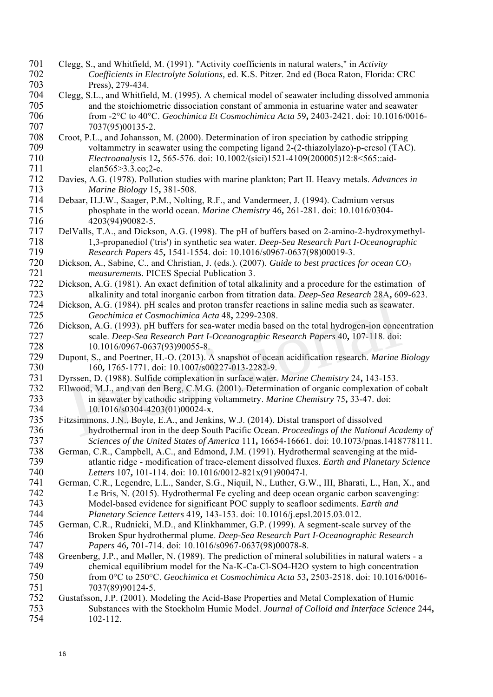- 701 Clegg, S., and Whitfield, M. (1991). "Activity coefficients in natural waters," in *Activity*  702 *Coefficients in Electrolyte Solutions,* ed. K.S. Pitzer. 2nd ed (Boca Raton, Florida: CRC 703 Press), 279-434.
- 704 Clegg, S.L., and Whitfield, M. (1995). A chemical model of seawater including dissolved ammonia 705 and the stoichiometric dissociation constant of ammonia in estuarine water and seawater<br>706 from -2°C to 40°C. Geochimica Et Cosmochimica Acta 59, 2403-2421. doi: 10.1016/001 706 from -2°C to 40°C. *Geochimica Et Cosmochimica Acta* 59**,** 2403-2421. doi: 10.1016/0016- 707 7037(95)00135-2.
- 708 Croot, P.L., and Johansson, M. (2000). Determination of iron speciation by cathodic stripping 709 voltammetry in seawater using the competing ligand 2-(2-thiazolylazo)-p-cresol (TAC).<br>710 Electroanalysis 12, 565-576. doi: 10.1002/(sici)1521-4109(200005)12:8<565::aid-710 *Electroanalysis* 12**,** 565-576. doi: 10.1002/(sici)1521-4109(200005)12:8<565::aid-711 elan565>3.3.co;2-c.
- 712 Davies, A.G. (1978). Pollution studies with marine plankton; Part II. Heavy metals. *Advances in*  713 *Marine Biology* 15**,** 381-508.
- 714 Debaar, H.J.W., Saager, P.M., Nolting, R.F., and Vandermeer, J. (1994). Cadmium versus 715 phosphate in the world ocean. *Marine Chemistry* 46**,** 261-281. doi: 10.1016/0304- 716 4203(94)90082-5.<br>717 DelValls, T.A., and Dicks
- 717 DelValls, T.A., and Dickson, A.G. (1998). The pH of buffers based on 2-amino-2-hydroxymethyl-<br>718 1.3-propanediol ('tris') in synthetic sea water. *Deep-Sea Research Part I-Oceanographic* 718 1,3-propanediol ('tris') in synthetic sea water. *Deep-Sea Research Part I-Oceanographic*  719 *Research Papers* 45**,** 1541-1554. doi: 10.1016/s0967-0637(98)00019-3.
- 720 Dickson, A., Sabine, C., and Christian, J. (eds.). (2007). *Guide to best practices for ocean CO2 measurements.* PICES Special Publication 3.
- 722 Dickson, A.G. (1981). An exact definition of total alkalinity and a procedure for the estimation of alkalinity and total inorganic carbon from titration data. Deep-Sea Research 28A, 609-623. 723 alkalinity and total inorganic carbon from titration data. *Deep-Sea Research* 28A**,** 609-623.
- 724 Dickson, A.G. (1984). pH scales and proton transfer reactions in saline media such as seawater.<br>725 Geochimica et Cosmochimica Acta 48, 2299-2308. 725 *Geochimica et Cosmochimica Acta* 48**,** 2299-2308.
- 726 Dickson, A.G. (1993). pH buffers for sea-water media based on the total hydrogen-ion concentration 727 scale. *Deep-Sea Research Part I-Oceanographic Research Papers* 40**,** 107-118. doi: 728 10.1016/0967-0637(93)90055-8. ickson, A.G. (1984). pH scales and proton transfer reactions in saline media such as seaware decolumnica deta 48, 2299-2308.<br>
ickson, A.G. (1993). pH buffers for sea-water media based on the total hydrogen-ion concessale.
- 729 Dupont, S., and Poertner, H.-O. (2013). A snapshot of ocean acidification research. *Marine Biology* 730 160, 1765-1771. doi: 10.1007/s00227-013-2282-9.<br>731 Dyrssen, D. (1988). Sulfide complexation in surface water.
- 731 Dyrssen, D. (1988). Sulfide complexation in surface water. *Marine Chemistry* 24**,** 143-153.
- 732 Ellwood, M.J., and van den Berg, C.M.G. (2001). Determination of organic complexation of cobalt<br>733 in seawater by cathodic stripping voltammetry. *Marine Chemistry* 75, 33-47. doi: 733 in seawater by cathodic stripping voltammetry. *Marine Chemistry* 75**,** 33-47. doi: 734 10.1016/s0304-4203(01)00024-x.
- 735 Fitzsimmons, J.N., Boyle, E.A., and Jenkins, W.J. (2014). Distal transport of dissolved 736 hydrothermal iron in the deep South Pacific Ocean. *Proceedings of the National Academy of*  737 *Sciences of the United States of America* 111, 16654-16661. doi: 10.1073/pnas.1418778111.<br>738 German, C.R., Campbell, A.C., and Edmond, J.M. (1991). Hydrothermal scavenging at the mid-
- 738 German, C.R., Campbell, A.C., and Edmond, J.M. (1991). Hydrothermal scavenging at the mid-<br>739 diantic ridge modification of trace-element dissolved fluxes. *Earth and Planetary Science* 739 atlantic ridge - modification of trace-element dissolved fluxes. *Earth and Planetary Science*  740 *Letters* 107, 101-114. doi: 10.1016/0012-821x(91)90047-l.<br>741 German, C.R., Legendre, L.L., Sander, S.G., Niquil, N., Luther, G.
- German, C.R., Legendre, L.L., Sander, S.G., Niquil, N., Luther, G.W., III, Bharati, L., Han, X., and 742 Le Bris, N. (2015). Hydrothermal Fe cycling and deep ocean organic carbon scavenging: 743 Model-based evidence for significant POC supply to seafloor sediments. *Earth and*
- 744 *Planetary Science Letters* 419**,** 143-153. doi: 10.1016/j.epsl.2015.03.012. German, C.R., Rudnicki, M.D., and Klinkhammer, G.P. (1999). A segment-scale survey of the 746 Broken Spur hydrothermal plume. *Deep-Sea Research Part I-Oceanographic Research*  747 *Papers* 46**,** 701-714. doi: 10.1016/s0967-0637(98)00078-8.
- 748 Greenberg, J.P., and Møller, N. (1989). The prediction of mineral solubilities in natural waters a<br>749 chemical equilibrium model for the Na-K-Ca-Cl-SO4-H2O system to high concentration 749 chemical equilibrium model for the Na-K-Ca-Cl-SO4-H2O system to high concentration 750 from 0°C to 250°C. *Geochimica et Cosmochimica Acta* 53**,** 2503-2518. doi: 10.1016/0016- 751 7037(89)90124-5.
- 752 Gustafsson, J.P. (2001). Modeling the Acid-Base Properties and Metal Complexation of Humic<br>753 Substances with the Stockholm Humic Model. Journal of Colloid and Interface Science 753 Substances with the Stockholm Humic Model. *Journal of Colloid and Interface Science* 244**,** 754 102-112.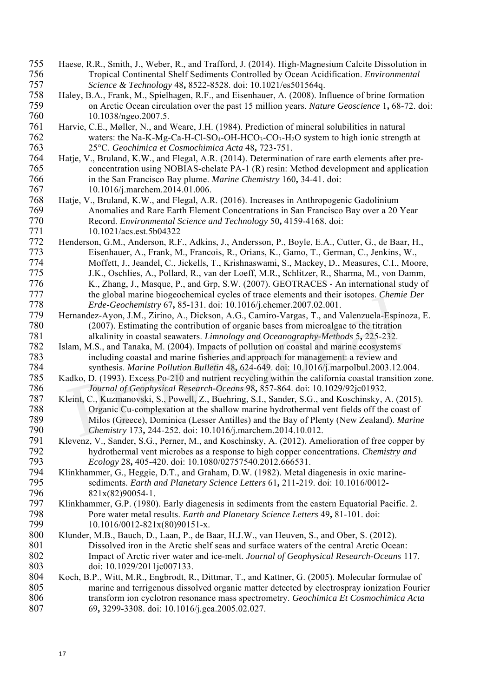- 755 Haese, R.R., Smith, J., Weber, R., and Trafford, J. (2014). High-Magnesium Calcite Dissolution in 756 Tropical Continental Shelf Sediments Controlled by Ocean Acidification. *Environmental*  757 *Science & Technology* 48**,** 8522-8528. doi: 10.1021/es501564q.
- 758 Haley, B.A., Frank, M., Spielhagen, R.F., and Eisenhauer, A. (2008). Influence of brine formation<br>759 on Arctic Ocean circulation over the past 15 million years. Nature Geoscience 1, 68-72, do 759 on Arctic Ocean circulation over the past 15 million years. *Nature Geoscience* 1**,** 68-72. doi: 760 10.1038/ngeo.2007.5.
- 761 Harvie, C.E., Møller, N., and Weare, J.H. (1984). Prediction of mineral solubilities in natural 762 waters: the Na-K-Mg-Ca-H-Cl-SO<sub>4</sub>-OH-HCO<sub>3</sub>-CO<sub>3</sub>-H<sub>2</sub>O system to high ionic strength at 763 25°C. *Geochimica et Cosmochimica Acta* 48**,** 723-751.
- Hatje, V., Bruland, K.W., and Flegal, A.R. (2014). Determination of rare earth elements after pre-765 concentration using NOBIAS-chelate PA-1 (R) resin: Method development and application 766 in the San Francisco Bay plume. *Marine Chemistry* 160**,** 34-41. doi: 767 10.1016/j.marchem.2014.01.006.
- 768 Hatje, V., Bruland, K.W., and Flegal, A.R. (2016). Increases in Anthropogenic Gadolinium 769 Anomalies and Rare Earth Element Concentrations in San Francisco Bay over a 20 Year 770 Record. *Environmental Science and Technology* 50**,** 4159-4168. doi: 771 10.1021/acs.est.5b04322<br>772 Henderson, G.M., Anderson, R.F
- Henderson, G.M., Anderson, R.F., Adkins, J., Andersson, P., Boyle, E.A., Cutter, G., de Baar, H., 773 Eisenhauer, A., Frank, M., Francois, R., Orians, K., Gamo, T., German, C., Jenkins, W., 774 Moffett, J., Jeandel, C., Jickells, T., Krishnaswami, S., Mackey, D., Measures, C.I., Moore, J.K., Oschlies, A., Pollard, R., van der Loeff, M.R., Schlitzer, R., Sharma, M., von Damm. J.K., Oschlies, A., Pollard, R., van der Loeff, M.R., Schlitzer, R., Sharma, M., von Damm, 776 K., Zhang, J., Masque, P., and Grp, S.W. (2007). GEOTRACES - An international study of the global marine biogeochemical cycles of trace elements and their isotopes. *Chemie Der* 777 the global marine biogeochemical cycles of trace elements and their isotopes. *Chemie Der*
- 778 *Erde-Geochemistry* 67**,** 85-131. doi: 10.1016/j.chemer.2007.02.001. Hernandez-Ayon, J.M., Zirino, A., Dickson, A.G., Camiro-Vargas, T., and Valenzuela-Espinoza, E. 780 (2007). Estimating the contribution of organic bases from microalgae to the titration 781 alkalinity in coastal seawaters. *Limnology and Oceanography-Methods* 5**,** 225-232.
- 782 Islam, M.S., and Tanaka, M. (2004). Impacts of pollution on coastal and marine ecosystems 783 including coastal and marine fisheries and approach for management: a review and<br>784 synthesis. *Marine Pollution Bulletin* 48, 624-649. doi: 10.1016/j.marpolbul.2003.12
- 784 synthesis. *Marine Pollution Bulletin* 48**,** 624-649. doi: 10.1016/j.marpolbul.2003.12.004. Kadko, D. (1993). Excess Po-210 and nutrient recycling within the california coastal transition zone. 786 *Journal of Geophysical Research-Oceans* 98**,** 857-864. doi: 10.1029/92jc01932.
- 787 Kleint, C., Kuzmanovski, S., Powell, Z., Buehring, S.I., Sander, S.G., and Koschinsky, A. (2015). 788 Organic Cu-complexation at the shallow marine hydrothermal vent fields off the coast of 789 Milos (Greece), Dominica (Lesser Antilles) and the Bay of Plenty (New Zealand). *Marine*  790 *Chemistry* 173**,** 244-252. doi: 10.1016/j.marchem.2014.10.012. *Erde-Geochemistry* 67, 85-131. doi: 10.1016/j.chemer.2007.02.001.<br>
ernandez-Ayon, J.M., Zirino, A., Dickson, A.G., Camiro-Vargas, T., and Valenzuela-Espin<br>
(2007). Estimating the contribution of organic bases from microal
- 791 Klevenz, V., Sander, S.G., Perner, M., and Koschinsky, A. (2012). Amelioration of free copper by<br>792 hydrothermal vent microbes as a response to high copper concentrations. Chemistry and 792 hydrothermal vent microbes as a response to high copper concentrations. *Chemistry and*  793 *Ecology* 28**,** 405-420. doi: 10.1080/02757540.2012.666531.
- 794 Klinkhammer, G., Heggie, D.T., and Graham, D.W. (1982). Metal diagenesis in oxic marine-<br>795 sediments. *Earth and Planetary Science Letters* 61, 211-219. doi: 10.1016/0012-795 sediments. *Earth and Planetary Science Letters* 61**,** 211-219. doi: 10.1016/0012- 796 821x(82)90054-1.
- 797 Klinkhammer, G.P. (1980). Early diagenesis in sediments from the eastern Equatorial Pacific. 2. 798 Pore water metal results. *Earth and Planetary Science Letters* 49**,** 81-101. doi: 799 10.1016/0012-821x(80)90151-x.<br>800 Klunder, M.B., Bauch, D., Laan, P., de B
- 800 Klunder, M.B., Bauch, D., Laan, P., de Baar, H.J.W., van Heuven, S., and Ober, S. (2012). 801 Dissolved iron in the Arctic shelf seas and surface waters of the central Arctic Ocean: 802 Impact of Arctic river water and ice-melt. *Journal of Geophysical Research-Oceans* 117.<br>803 doi: 10.1029/2011ic007133. 803 doi: 10.1029/2011jc007133.
- 804 Koch, B.P., Witt, M.R., Engbrodt, R., Dittmar, T., and Kattner, G. (2005). Molecular formulae of 805 marine and terrigenous dissolved organic matter detected by electrospray ionization Fourier 806 transform ion cyclotron resonance mass spectrometry. *Geochimica Et Cosmochimica Acta* 807 69**,** 3299-3308. doi: 10.1016/j.gca.2005.02.027.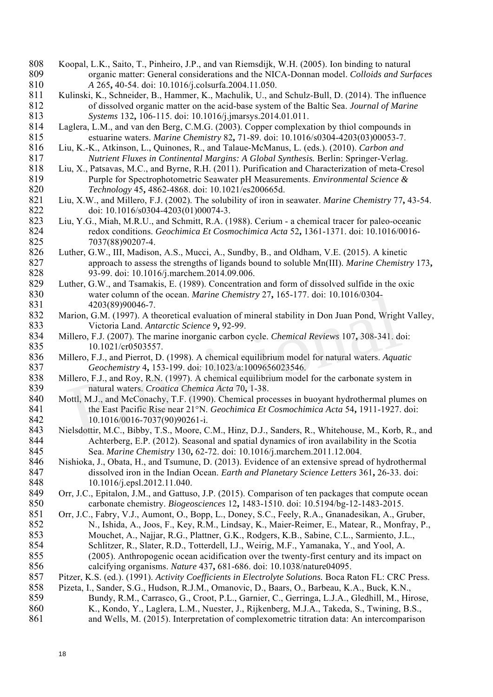- 808 Koopal, L.K., Saito, T., Pinheiro, J.P., and van Riemsdijk, W.H. (2005). Ion binding to natural 809 organic matter: General considerations and the NICA-Donnan model. *Colloids and Surfaces*  810 *A* 265**,** 40-54. doi: 10.1016/j.colsurfa.2004.11.050.
- 811 Kulinski, K., Schneider, B., Hammer, K., Machulik, U., and Schulz-Bull, D. (2014). The influence of dissolved organic matter on the acid-base system of the Baltic Sea. Journal of Marine 812 of dissolved organic matter on the acid-base system of the Baltic Sea. *Journal of Marine*  813 *Systems* 132**,** 106-115. doi: 10.1016/j.jmarsys.2014.01.011.
- 814 Laglera, L.M., and van den Berg, C.M.G. (2003). Copper complexation by thiol compounds in 815 estuarine waters. *Marine Chemistry* 82**,** 71-89. doi: 10.1016/s0304-4203(03)00053-7.
- 816 Liu, K.-K., Atkinson, L., Quinones, R., and Talaue-McManus, L. (eds.). (2010). *Carbon and*  817 *Nutrient Fluxes in Continental Margins: A Global Synthesis.* Berlin: Springer-Verlag.
- 818 Liu, X., Patsavas, M.C., and Byrne, R.H. (2011). Purification and Characterization of meta-Cresol 819 Purple for Spectrophotometric Seawater pH Measurements. *Environmental Science &*  820 *Technology* 45**,** 4862-4868. doi: 10.1021/es200665d.
- 821 Liu, X.W., and Millero, F.J. (2002). The solubility of iron in seawater. *Marine Chemistry* 77**,** 43-54. 822 doi: 10.1016/s0304-4203(01)00074-3.
- 823 Liu, Y.G., Miah, M.R.U., and Schmitt, R.A. (1988). Cerium a chemical tracer for paleo-oceanic<br>824 redox conditions. *Geochimica Et Cosmochimica Acta* 52, 1361-1371. doi: 10.1016/0016-824 redox conditions. *Geochimica Et Cosmochimica Acta* 52**,** 1361-1371. doi: 10.1016/0016- 7037(88)90207-4.
- 826 Luther, G.W., III, Madison, A.S., Mucci, A., Sundby, B., and Oldham, V.E. (2015). A kinetic 827 approach to assess the strengths of ligands bound to soluble Mn(III). *Marine Chemistry* 173**,** 828 93-99. doi: 10.1016/j.marchem.2014.09.006.
- 829 Luther, G.W., and Tsamakis, E. (1989). Concentration and form of dissolved sulfide in the oxic water column of the ocean. *Marine Chemistry* 27, 165-177. doi: 10.1016/0304-830 water column of the ocean. *Marine Chemistry* 27**,** 165-177. doi: 10.1016/0304- 831 4203(89)90046-7.<br>832 Marion, G.M. (1997). A th
- Marion, G.M. (1997). A theoretical evaluation of mineral stability in Don Juan Pond, Wright Valley, 833 Victoria Land. *Antarctic Science* 9**,** 92-99.
- 834 Millero, F.J. (2007). The marine inorganic carbon cycle. *Chemical Reviews* 107**,** 308-341. doi: 835 10.1021/cr0503557.
- 836 Millero, F.J., and Pierrot, D. (1998). A chemical equilibrium model for natural waters. *Aquatic*  837 *Geochemistry* 4, 153-199. doi: 10.1023/a:1009656023546.<br>838 Millero, F.J., and Roy, R.N. (1997). A chemical equilibrium model
- 838 Millero, F.J., and Roy, R.N. (1997). A chemical equilibrium model for the carbonate system in<br>839 natural waters. Croatica Chemica Acta 70, 1-38. 839 natural waters. *Croatica Chemica Acta* 70, 1-38.<br>840 Mottl, M.J., and McConachy, T.F. (1990). Chemical proc
- Mottl, M.J., and McConachy, T.F. (1990). Chemical processes in buoyant hydrothermal plumes on 841 the East Pacific Rise near 21°N. *Geochimica Et Cosmochimica Acta* 54**,** 1911-1927. doi: 842 10.1016/0016-7037(90)90261-i. 4203(89)90046-7.<br>
4203(89)90046-7.<br>
Iarion, G.M. (1997). A theoretical evaluation of mineral stability in Don Juan Pond, Wrigh<br>
Victoria Land. Antarctic Science 9, 92-99.<br>
Iillero, F.J. (2007). The marine inorganic carbon
- 843 Nielsdottir, M.C., Bibby, T.S., Moore, C.M., Hinz, D.J., Sanders, R., Whitehouse, M., Korb, R., and Achterberg, E.P. (2012). Seasonal and spatial dynamics of iron availability in the Scotia 844 Achterberg, E.P. (2012). Seasonal and spatial dynamics of iron availability in the Scotia 845 Sea. *Marine Chemistry* 130**,** 62-72. doi: 10.1016/j.marchem.2011.12.004.
- 846 Nishioka, J., Obata, H., and Tsumune, D. (2013). Evidence of an extensive spread of hydrothermal 847 dissolved iron in the Indian Ocean. *Earth and Planetary Science Letters* 361, 26-33. doi:<br>848 10.1016/j.epsl.2012.11.040. 848 10.1016/j.epsl.2012.11.040.
- 849 Orr, J.C., Epitalon, J.M., and Gattuso, J.P. (2015). Comparison of ten packages that compute ocean 850 carbonate chemistry. *Biogeosciences* 12**,** 1483-1510. doi: 10.5194/bg-12-1483-2015.
- 851 Orr, J.C., Fabry, V.J., Aumont, O., Bopp, L., Doney, S.C., Feely, R.A., Gnanadesikan, A., Gruber, 852 N., Ishida, A., Joos, F., Key, R.M., Lindsay, K., Maier-Reimer, E., Matear, R., Monfray, P. 852 N., Ishida, A., Joos, F., Key, R.M., Lindsay, K., Maier-Reimer, E., Matear, R., Monfray, P., 853 Mouchet, A., Najjar, R.G., Plattner, G.K., Rodgers, K.B., Sabine, C.L., Sarmiento, J.L., 854 Schlitzer, R., Slater, R.D., Totterdell, I.J., Weirig, M.F., Yamanaka, Y., and Yool, A. 855 (2005). Anthropogenic ocean acidification over the twenty-first century and its impact on calcifying organisms. Nature 437, 681-686, doi: 10.1038/nature04095. 856 calcifying organisms. *Nature* 437**,** 681-686. doi: 10.1038/nature04095.
- 857 Pitzer, K.S. (ed.). (1991). *Activity Coefficients in Electrolyte Solutions.* Boca Raton FL: CRC Press.
- 858 Pizeta, I., Sander, S.G., Hudson, R.J.M., Omanovic, D., Baars, O., Barbeau, K.A., Buck, K.N., 859 Bundy, R.M., Carrasco, G., Croot, P.L., Garnier, C., Gerringa, L.J.A., Gledhill, M., Hir 859 Bundy, R.M., Carrasco, G., Croot, P.L., Garnier, C., Gerringa, L.J.A., Gledhill, M., Hirose, 860 K., Kondo, Y., Laglera, L.M., Nuester, J., Rijkenberg, M.J.A., Takeda, S., Twining, B.S., 861 and Wells, M. (2015). Interpretation of complexometric titration data: An intercomparison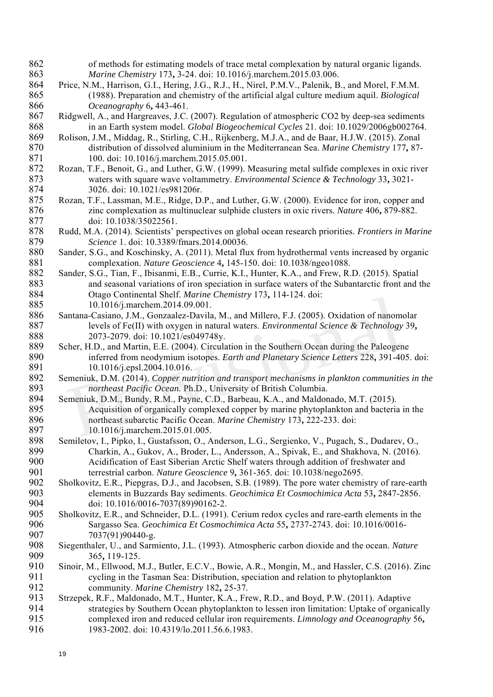- 862 of methods for estimating models of trace metal complexation by natural organic ligands. 863 *Marine Chemistry* 173**,** 3-24. doi: 10.1016/j.marchem.2015.03.006.
- 864 Price, N.M., Harrison, G.I., Hering, J.G., R.J., H., Nirel, P.M.V., Palenik, B., and Morel, F.M.M. 865 (1988). Preparation and chemistry of the artificial algal culture medium aquil. *Biological*  866 *Oceanography* 6**,** 443-461.
- 867 Ridgwell, A., and Hargreaves, J.C. (2007). Regulation of atmospheric CO2 by deep-sea sediments 868 in an Earth system model. *Global Biogeochemical Cycles* 21. doi: 10.1029/2006gb002764.
- 869 Rolison, J.M., Middag, R., Stirling, C.H., Rijkenberg, M.J.A., and de Baar, H.J.W. (2015). Zonal<br>870 distribution of dissolved aluminium in the Mediterranean Sea. Marine Chemistry 177, 87-870 distribution of dissolved aluminium in the Mediterranean Sea. *Marine Chemistry* 177**,** 87- 871 100. doi: 10.1016/j.marchem.2015.05.001.
- 872 Rozan, T.F., Benoit, G., and Luther, G.W. (1999). Measuring metal sulfide complexes in oxic river 873 waters with square wave voltammetry. *Environmental Science & Technology* 33**,** 3021- 874 3026. doi: 10.1021/es981206r.<br>875 Rozan, T.F., Lassman, M.E., Ridge, D.
- Rozan, T.F., Lassman, M.E., Ridge, D.P., and Luther, G.W. (2000). Evidence for iron, copper and 876 zinc complexation as multinuclear sulphide clusters in oxic rivers. *Nature* 406**,** 879-882. 877 doi: 10.1038/35022561.<br>878 Rudd, M.A. (2014). Scientists' t
- 878 Rudd, M.A. (2014). Scientists' perspectives on global ocean research priorities. *Frontiers in Marine*  879 *Science* 1. doi: 10.3389/fmars.2014.00036.
- 880 Sander, S.G., and Koschinsky, A. (2011). Metal flux from hydrothermal vents increased by organic 881 complexation. *Nature Geoscience* 4**,** 145-150. doi: 10.1038/ngeo1088.
- 882 Sander, S.G., Tian, F., Ibisanmi, E.B., Currie, K.I., Hunter, K.A., and Frew, R.D. (2015). Spatial 883 and seasonal variations of iron speciation in surface waters of the Subantarctic front and the 0tago Continental Shelf. *Marine Chemistry* 173, 114-124. doi: 884 Otago Continental Shelf. *Marine Chemistry* 173**,** 114-124. doi: 885 10.1016/j.marchem.2014.09.001.<br>886 Santana-Casiano, J.M., Gonzaalez-Davila
- 886 Santana-Casiano, J.M., Gonzaalez-Davila, M., and Millero, F.J. (2005). Oxidation of nanomolar 887 levels of Fe(II) with oxygen in natural waters. *Environmental Science & Technology* 39**,** 888 2073-2079. doi: 10.1021/es049748y.
- 889 Scher, H.D., and Martin, E.E. (2004). Circulation in the Southern Ocean during the Paleogene 890 inferred from neodymium isotopes. *Earth and Planetary Science Letters* 228**,** 391-405. doi: 891 10.1016/j.epsl.2004.10.016.<br>892 Semeniuk, D.M. (2014). Copper nutr
- 892 Semeniuk, D.M. (2014). *Copper nutrition and transport mechanisms in plankton communities in the*  893 *northeast Pacific Ocean*. Ph.D., University of British Columbia.<br>894 Semeniuk, D.M., Bundy, R.M., Payne, C.D., Barbeau, K.A., and Maldon
- Semeniuk, D.M., Bundy, R.M., Payne, C.D., Barbeau, K.A., and Maldonado, M.T. (2015). 895 Acquisition of organically complexed copper by marine phytoplankton and bacteria in the 896 northeast subarctic Pacific Ocean. *Marine Chemistry* 173**,** 222-233. doi: 10.1016/j.marchem.2014.09.001.<br>
antana-Casiano, J.M., Gonzaalez-Davila, M., and Millero, F.J. (2005). Oxidation of nanom<br>
levels of Fe(II) with oxygen in natural waters. *Environmental Science & Technology*<br>
2073-2079. do
- 897 10.1016/j.marchem.2015.01.005.<br>898 Semiletov. I., Pipko, I., Gustafsson, O., A 898 Semiletov, I., Pipko, I., Gustafsson, O., Anderson, L.G., Sergienko, V., Pugach, S., Dudarev, O., Charkin, A., Gukov, A., Broder, L., Andersson, A., Spivak, E., and Shakhova, N. (2016). 899 Charkin, A., Gukov, A., Broder, L., Andersson, A., Spivak, E., and Shakhova, N. (2016).<br>900 Acidification of East Siberian Arctic Shelf waters through addition of freshwater and 900 Acidification of East Siberian Arctic Shelf waters through addition of freshwater and 901 terrestrial carbon. *Nature Geoscience* 9, 361-365. doi: 10.1038/nego2695.<br>902 Sholkovitz, E.R., Piepgras, D.J., and Jacobsen, S.B. (1989). The pore water chemi
- Sholkovitz, E.R., Piepgras, D.J., and Jacobsen, S.B. (1989). The pore water chemistry of rare-earth 903 elements in Buzzards Bay sediments. *Geochimica Et Cosmochimica Acta* 53**,** 2847-2856. 904 doi: 10.1016/0016-7037(89)90162-2.
- 905 Sholkovitz, E.R., and Schneider, D.L. (1991). Cerium redox cycles and rare-earth elements in the Sargasso Sea. Geochimica Et Cosmochimica Acta 55, 2737-2743. doi: 10.1016/0016-906 Sargasso Sea. *Geochimica Et Cosmochimica Acta* 55**,** 2737-2743. doi: 10.1016/0016- 907 7037(91)90440-g.
- 908 Siegenthaler, U., and Sarmiento, J.L. (1993). Atmospheric carbon dioxide and the ocean. *Nature* 909 365**,** 119-125.
- Sinoir, M., Ellwood, M.J., Butler, E.C.V., Bowie, A.R., Mongin, M., and Hassler, C.S. (2016). Zinc 911 cycling in the Tasman Sea: Distribution, speciation and relation to phytoplankton 912 community. *Marine Chemistry* 182**,** 25-37.
- 913 Strzepek, R.F., Maldonado, M.T., Hunter, K.A., Frew, R.D., and Boyd, P.W. (2011). Adaptive<br>914 strategies by Southern Ocean phytoplankton to lessen iron limitation: Uptake of organic strategies by Southern Ocean phytoplankton to lessen iron limitation: Uptake of organically 915 complexed iron and reduced cellular iron requirements. *Limnology and Oceanography* 56**,** 916 1983-2002. doi: 10.4319/lo.2011.56.6.1983.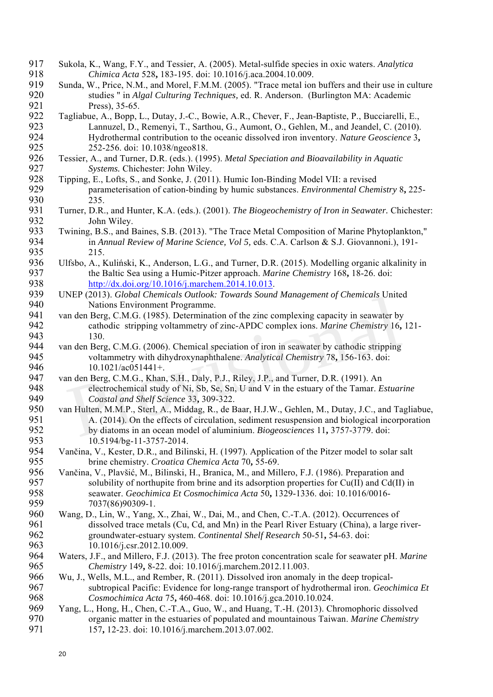- 917 Sukola, K., Wang, F.Y., and Tessier, A. (2005). Metal-sulfide species in oxic waters. *Analytica*  918 *Chimica Acta* 528**,** 183-195. doi: 10.1016/j.aca.2004.10.009.
- Sunda, W., Price, N.M., and Morel, F.M.M. (2005). "Trace metal ion buffers and their use in culture 920 studies " in *Algal Culturing Techniques,* ed. R. Anderson. (Burlington MA: Academic Press), 35-65.
- 922 Tagliabue, A., Bopp, L., Dutay, J.-C., Bowie, A.R., Chever, F., Jean-Baptiste, P., Bucciarelli, E., 923 Lannuzel. D., Remenvi. T., Sarthou. G., Aumont. O., Gehlen, M., and Jeandel. C. (2010). 923 Lannuzel, D., Remenyi, T., Sarthou, G., Aumont, O., Gehlen, M., and Jeandel, C. (2010).<br>924 Hydrothermal contribution to the oceanic dissolved iron inventory. Nature Geoscience 3. 924 Hydrothermal contribution to the oceanic dissolved iron inventory. *Nature Geoscience* 3**,** 925 252-256. doi: 10.1038/ngeo818.<br>926 Tessier, A., and Turner, D.R. (eds.). (199
- 926 Tessier, A., and Turner, D.R. (eds.). (1995). *Metal Speciation and Bioavailability in Aquatic*  927 *Systems.* Chichester: John Wiley.
- 928 Tipping, E., Lofts, S., and Sonke, J. (2011). Humic Ion-Binding Model VII: a revised<br>929 parameterisation of cation-binding by humic substances. *Environmental Chem* 929 parameterisation of cation-binding by humic substances. *Environmental Chemistry* 8**,** 225- 930 235.
- 931 Turner, D.R., and Hunter, K.A. (eds.). (2001). *The Biogeochemistry of Iron in Seawater.* Chichester: 932 John Wiley.<br>933 Twining, B.S., and F
- 933 Twining, B.S., and Baines, S.B. (2013). "The Trace Metal Composition of Marine Phytoplankton,"<br>934 in Annual Review of Marine Science. Vol. 5. eds. C.A. Carlson & S.J. Giovannoni.). 191-934 in *Annual Review of Marine Science, Vol 5,* eds. C.A. Carlson & S.J. Giovannoni.), 191- 935 215.
- 936 Ulfsbo, A., Kuliński, K., Anderson, L.G., and Turner, D.R. (2015). Modelling organic alkalinity in the Baltic Sea using a Humic-Pitzer approach. *Marine Chemistry* 168, 18-26. doi: 937 the Baltic Sea using a Humic-Pitzer approach. *Marine Chemistry* 168**,** 18-26. doi: 938 http://dx.doi.org/10.1016/j.marchem.2014.10.013.<br>939 UNEP (2013). Global Chemicals Outlook: Towards Sound
- 939 UNEP (2013). *Global Chemicals Outlook: Towards Sound Management of Chemicals* United 940 Nations Environment Programme.<br>941 van den Berg. C.M.G. (1985). Determinati
- 941 van den Berg, C.M.G. (1985). Determination of the zinc complexing capacity in seawater by 942 cathodic stripping voltammetry of zinc-APDC complex ions. *Marine Chemistry* 16**,** 121- 943 130.
- 944 van den Berg, C.M.G. (2006). Chemical speciation of iron in seawater by cathodic stripping 945 voltammetry with dihydroxynaphthalene. *Analytical Chemistry* 78**,** 156-163. doi: 946 10.1021/ac051441+.<br>947 van den Berg. C.M.G., Khan
- 947 van den Berg, C.M.G., Khan, S.H., Daly, P.J., Riley, J.P., and Turner, D.R. (1991). An electrochemical study of Ni. Sb. Se. Sn. U and V in the estuary of the Tamar. E 948 electrochemical study of Ni, Sb, Se, Sn, U and V in the estuary of the Tamar. *Estuarine*  949 *Coastal and Shelf Science* 33**,** 309-322.
- 950 van Hulten, M.M.P., Sterl, A., Middag, R., de Baar, H.J.W., Gehlen, M., Dutay, J.C., and Tagliabue, 951 A. (2014). On the effects of circulation, sediment resuspension and biological incorporation<br>952 by diatoms in an ocean model of aluminium. *Biogeosciences* 11, 3757-3779, doi: 952 by diatoms in an ocean model of aluminium. *Biogeosciences* 11**,** 3757-3779. doi: 953 10.5194/bg-11-3757-2014.<br>954 Vančina, V., Kester, D.R., and Bilin Nations Environment Programme.<br>
In den Berg, C.M.G. (1985). Determination of the zinc complexing capacity in seawater by<br>
cathodic stripping voltammetry of zinc-APDC complex ions. *Marine Chemistry* 16,<br>
130.<br>
In den Berg,
- 954 Vančina, V., Kester, D.R., and Bilinski, H. (1997). Application of the Pitzer model to solar salt<br>955 bine chemistry. Croatica Chemica Acta 70, 55-69. 955 brine chemistry. *Croatica Chemica Acta* 70**,** 55-69.
- 956 Vančina, V., Plavšić, M., Bilinski, H., Branica, M., and Millero, F.J. (1986). Preparation and solubility of northupite from brine and its adsorption properties for Cu(II) and Cd(II) solubility of northupite from brine and its adsorption properties for  $Cu(II)$  and  $Cd(II)$  in 958 seawater. *Geochimica Et Cosmochimica Acta* 50**,** 1329-1336. doi: 10.1016/0016- 959 7037(86)90309-1.
- 960 Wang, D., Lin, W., Yang, X., Zhai, W., Dai, M., and Chen, C.-T.A. (2012). Occurrences of dissolved trace metals (Cu, Cd, and Mn) in the Pearl River Estuary (China), a large i dissolved trace metals (Cu, Cd, and Mn) in the Pearl River Estuary (China), a large river-962 groundwater-estuary system. *Continental Shelf Research* 50-51**,** 54-63. doi: 963 10.1016/j.csr.2012.10.009.
- 964 Waters, J.F., and Millero, F.J. (2013). The free proton concentration scale for seawater pH. *Marine*  965 *Chemistry* 149**,** 8-22. doi: 10.1016/j.marchem.2012.11.003.
- 966 Wu, J., Wells, M.L., and Rember, R. (2011). Dissolved iron anomaly in the deep tropical-967 subtropical Pacific: Evidence for long-range transport of hydrothermal iron. *Geochimica Et*  968 *Cosmochimica Acta* 75**,** 460-468. doi: 10.1016/j.gca.2010.10.024.
- 969 Yang, L., Hong, H., Chen, C.-T.A., Guo, W., and Huang, T.-H. (2013). Chromophoric dissolved 970 organic matter in the estuaries of populated and mountainous Taiwan. *Marine Chemistry*<br>971 157, 12-23. doi: 10.1016/j.marchem.2013.07.002. 971 157**,** 12-23. doi: 10.1016/j.marchem.2013.07.002.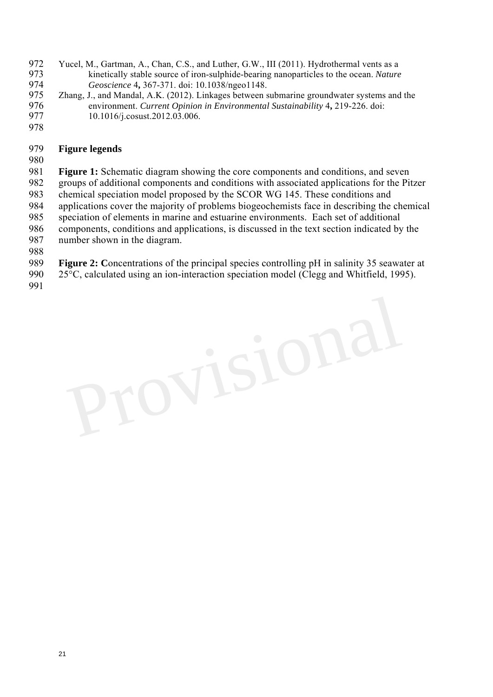- 972 Yucel, M., Gartman, A., Chan, C.S., and Luther, G.W., III (2011). Hydrothermal vents as a kinetically stable source of iron-sulphide-bearing nanoparticles to the ocean. *Nature* 973 kinetically stable source of iron-sulphide-bearing nanoparticles to the ocean. *Nature*  974 *Geoscience* 4**,** 367-371. doi: 10.1038/ngeo1148.
- 975 Zhang, J., and Mandal, A.K. (2012). Linkages between submarine groundwater systems and the environment. Current Opinion in Environmental Sustainability 4, 219-226. doi: 976 environment. *Current Opinion in Environmental Sustainability* 4**,** 219-226. doi: 977 10.1016/j.cosust.2012.03.006.
- 978

#### 979 **Figure legends**

980

981 **Figure 1:** Schematic diagram showing the core components and conditions, and seven 982 groups of additional components and conditions with associated applications for the Pitzer 983 chemical speciation model proposed by the SCOR WG 145. These conditions and 984 applications cover the majority of problems biogeochemists face in describing the chemical 985 speciation of elements in marine and estuarine environments. Each set of additional 986 components, conditions and applications, is discussed in the text section indicated by the 987 number shown in the diagram.

- 988
- 989 **Figure 2: C**oncentrations of the principal species controlling pH in salinity 35 seawater at
- 990 25°C, calculated using an ion-interaction speciation model (Clegg and Whitfield, 1995).
- 991